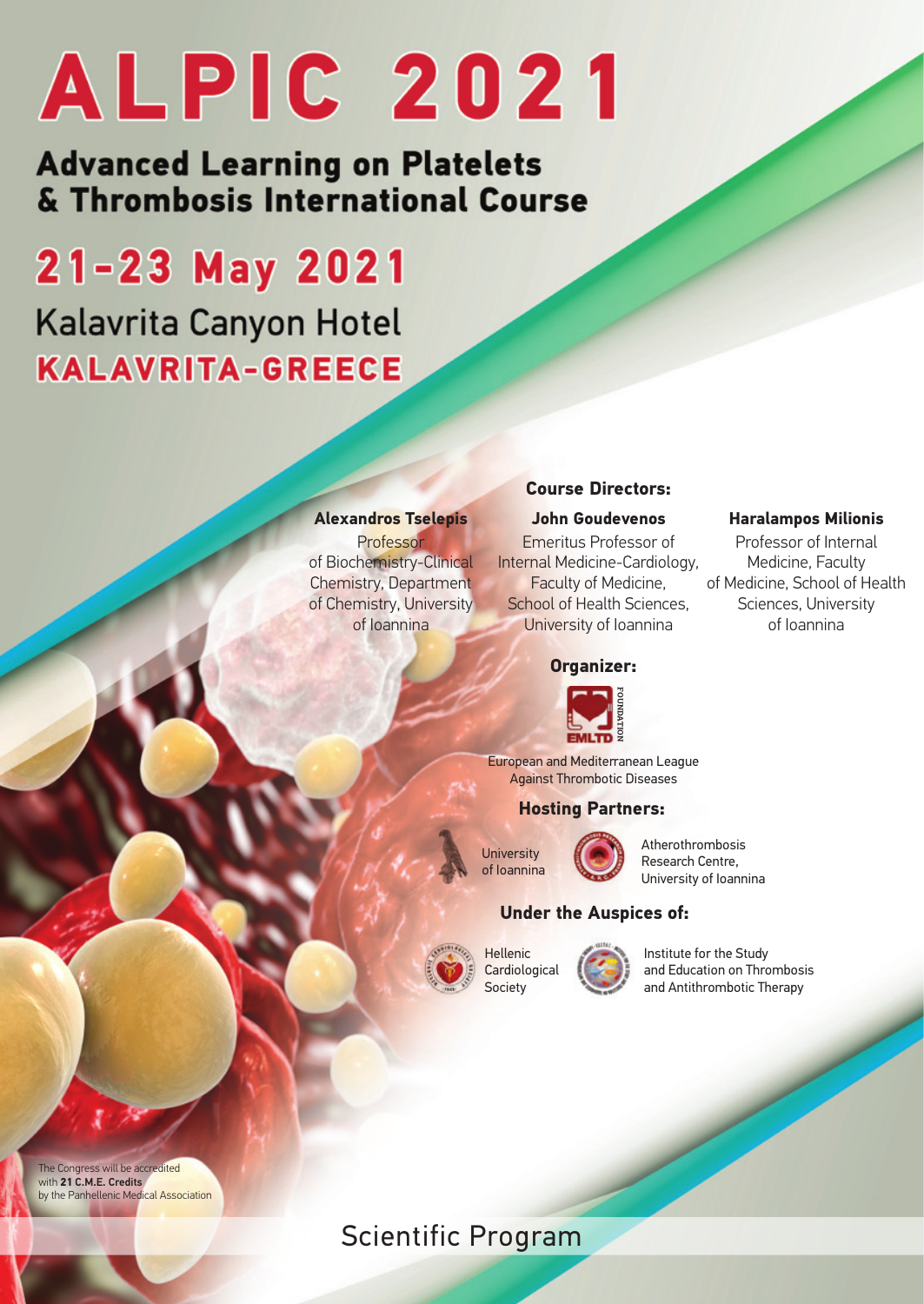**Advanced Learning on Platelets** & Thrombosis International Course

## 21-23 May 2021 Kalavrita Canyon Hotel **KALAVRITA-GREECE**

#### **Alexandros Tselepis**

Professor of Biochemistry-Clinical Chemistry, Department of Chemistry, University of Ioannina

#### **Course Directors:**

**John Goudevenos** Emeritus Professor of Internal Medicine-Cardiology, Faculty of Medicine, School of Health Sciences, University of Ioannina

#### **Organizer:**



European and Mediterranean League **Against Thrombotic Diseases** 

#### **Hosting Partners:**



Atherothrombosis Research Centre, University of Ioannina

Z,

#### **Under the Auspices of:**



Institute for the Study and Education on Thrombosis and Antithrombotic Therapy

The Congress will be accredited with **21** C.M.E. Credits by the Panhellenic Medical Association

## Scientific Program

**Haralampos Milionis** Professor of Internal Medicine, Faculty of Medicine, School of Health Sciences, University

of Ioannina

Z,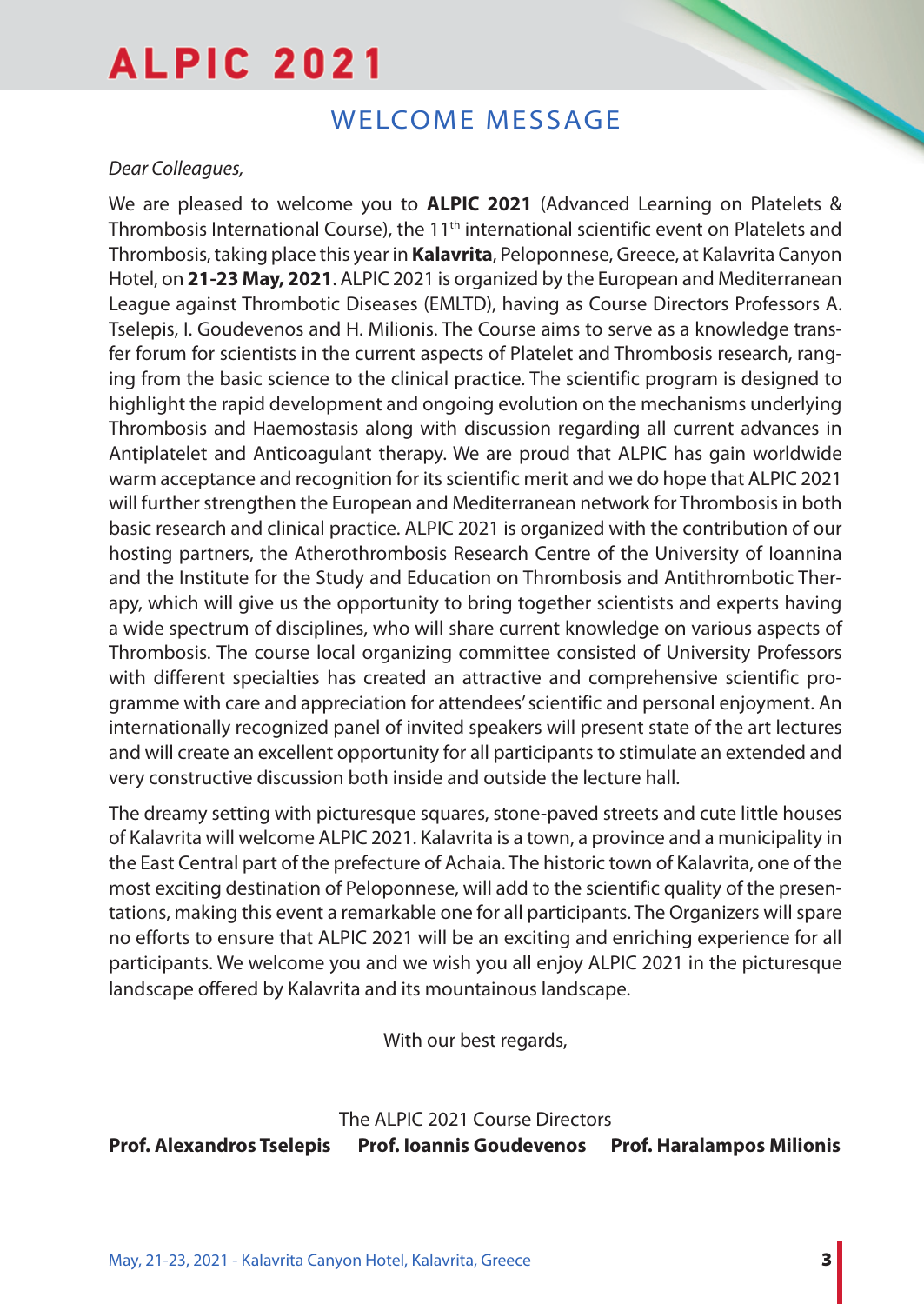## WELCOME MESSAGE

## *Dear Colleagues,*

We are pleased to welcome you to **ALPIC 2021** (Advanced Learning on Platelets & Thrombosis International Course), the  $11<sup>th</sup>$  international scientific event on Platelets and Thrombosis, taking place this year in **Kalavrita**, Peloponnese, Greece, at Kalavrita Canyon Hotel, on **21-23 May, 2021**. ALPIC 2021 is organized by the European and Mediterranean League against Thrombotic Diseases (EMLTD), having as Course Directors Professors A. Tselepis, I. Goudevenos and H. Milionis. The Course aims to serve as a knowledge transfer forum for scientists in the current aspects of Platelet and Thrombosis research, ranging from the basic science to the clinical practice. The scientific program is designed to highlight the rapid development and ongoing evolution on the mechanisms underlying Thrombosis and Haemostasis along with discussion regarding all current advances in Antiplatelet and Anticoagulant therapy. We are proud that ALPIC has gain worldwide warm acceptance and recognition for its scientific merit and we do hope that ALPIC 2021 will further strengthen the European and Mediterranean network for Thrombosis in both basic research and clinical practice. ALPIC 2021 is organized with the contribution of our hosting partners, the Atherothrombosis Research Centre of the University of Ioannina and the Institute for the Study and Education on Thrombosis and Antithrombotic Therapy, which will give us the opportunity to bring together scientists and experts having a wide spectrum of disciplines, who will share current knowledge on various aspects of Thrombosis. The course local organizing committee consisted of University Professors with different specialties has created an attractive and comprehensive scientific programme with care and appreciation for attendees' scientific and personal enjoyment. An internationally recognized panel of invited speakers will present state of the art lectures and will create an excellent opportunity for all participants to stimulate an extended and very constructive discussion both inside and outside the lecture hall.

The dreamy setting with picturesque squares, stone-paved streets and cute little houses of Kalavrita will welcome ALPIC 2021. Kalavrita is a town, a province and a municipality in the East Central part of the prefecture of Achaia. The historic town of Kalavrita, one of the most exciting destination of Peloponnese, will add to the scientific quality of the presentations, making this event a remarkable one for all participants. The Organizers will spare no efforts to ensure that ALPIC 2021 will be an exciting and enriching experience for all participants. We welcome you and we wish you all enjoy ALPIC 2021 in the picturesque landscape offered by Kalavrita and its mountainous landscape.

With our best regards,

The ALPIC 2021 Course Directors **Prof. Alexandros Tselepis Prof. Ioannis Goudevenos Prof. Haralampos Milionis**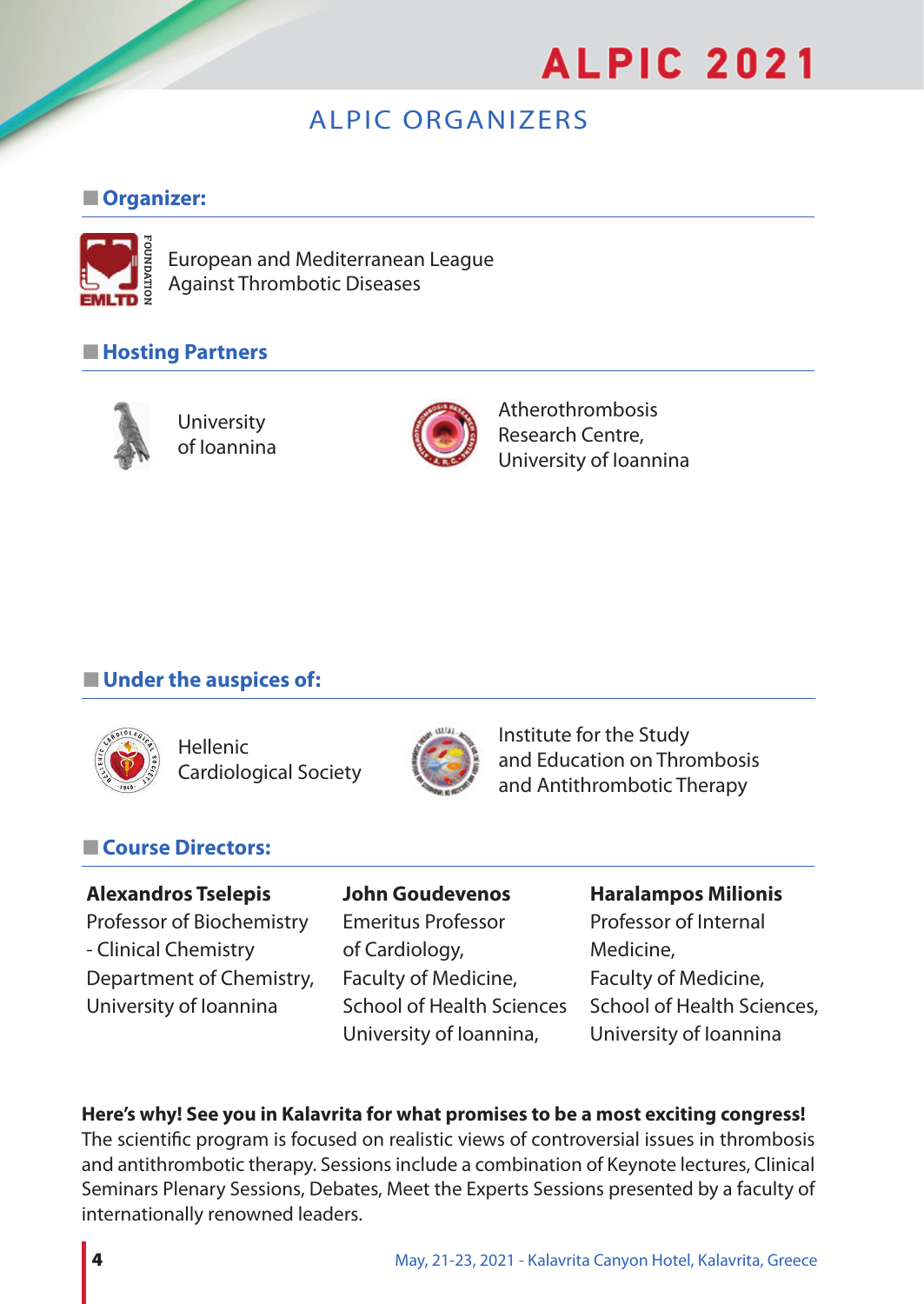## ALPIC ORGANIZERS

## n**Organizer:**



European and Mediterranean League Against Thrombotic Diseases

## ■ Hosting Partners



University of Ioannina



Atherothrombosis Research Centre, University of Ioannina

## $\blacksquare$  Under the auspices of:



Hellenic Cardiological Society



Institute for the Study and Education on Thrombosis and Antithrombotic Therapy

## **■ Course Directors:**

## **Alexandros Tselepis John Goudevenos Haralampos Milionis**

Professor of Biochemistry Emeritus Professor Professor of Internal - Clinical Chemistry of Cardiology, and Medicine, Department of Chemistry, Faculty of Medicine, Faculty of Medicine, University of Ioannina School of Health Sciences School of Health Sciences,

University of Ioannina, University of Ioannina

## **Here's why! See you in Kalavrita for what promises to be a most exciting congress!**

The scientific program is focused on realistic views of controversial issues in thrombosis and antithrombotic therapy. Sessions include a combination of Keynote lectures, Clinical Seminars Plenary Sessions, Debates, Meet the Experts Sessions presented by a faculty of internationally renowned leaders.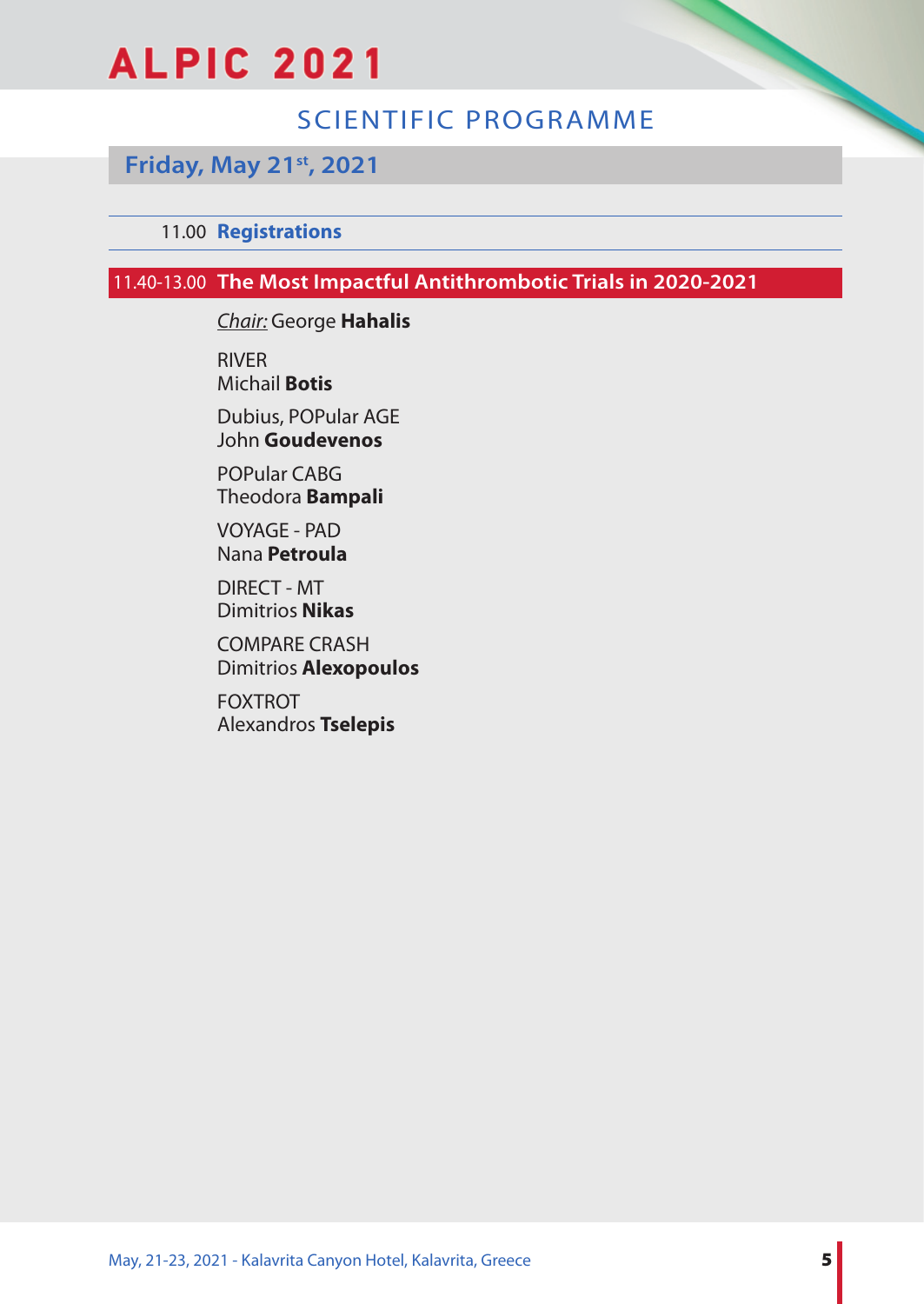## SCIENTIFIC PROGRAMME

## **Friday, May 21st, 2021**

## 11.00 **Registrations**

## 11.40-13.00 **The Most Impactful Antithrombotic Trials in 2020-2021**

*Chair:* George **Hahalis**

RIVER Michail **Botis**

Dubius, POPular AGE John **Goudevenos**

POPular CABG Theodora **Bampali**

VOYAGE - PAD Nana **Petroula**

DIRECT - MT Dimitrios **Nikas**

COMPARE CRASH Dimitrios **Alexopoulos**

FOXTROT Alexandros **Tselepis**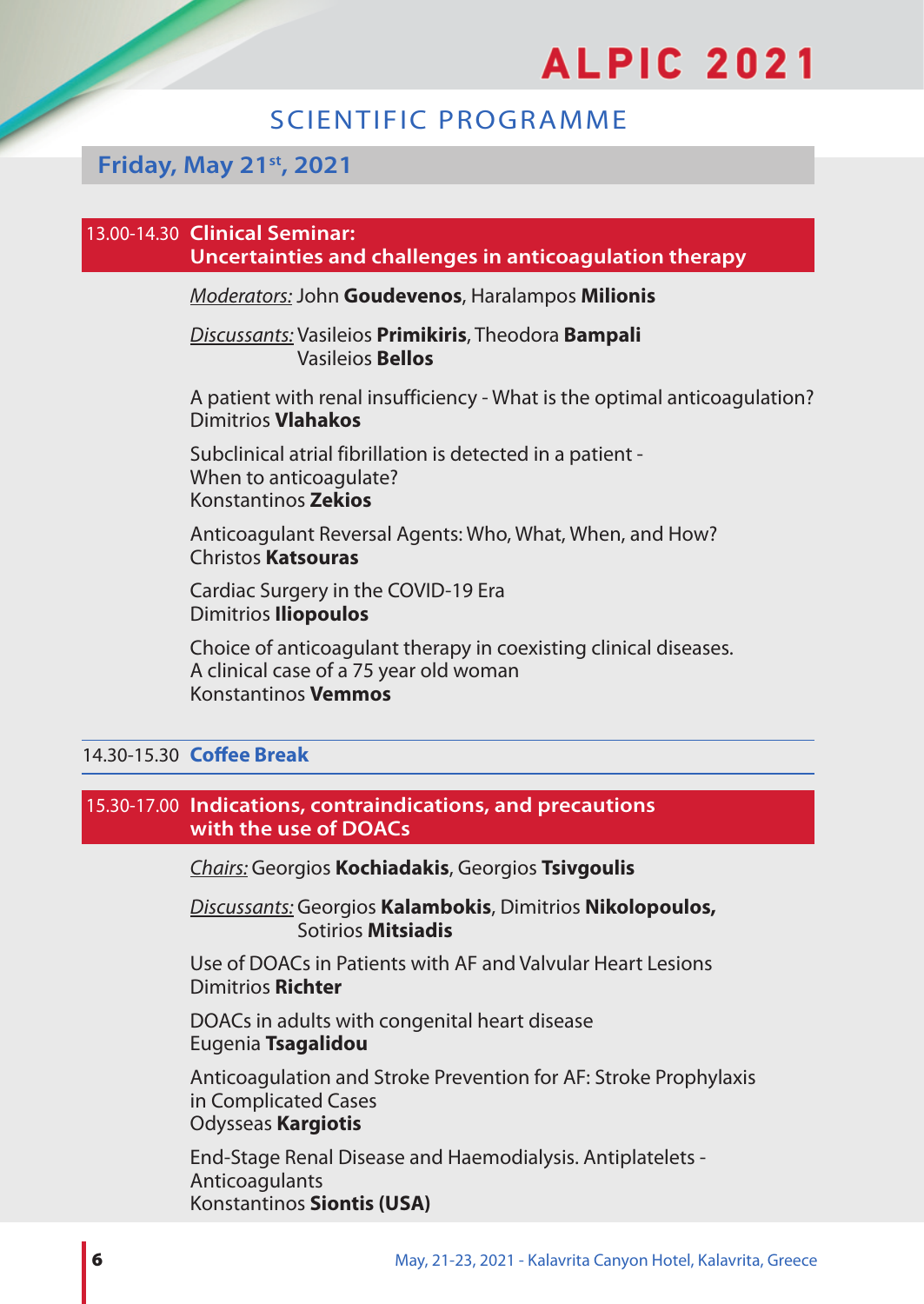## SCIENTIFIC PROGRAMME

## **Friday, May 21st, 2021**

## 13.00-14.30 **Clinical Seminar:**

**Uncertainties and challenges in anticoagulation therapy**

*Moderators:* John **Goudevenos**, Haralampos **Milionis**

#### *Discussants:* Vasileios **Primikiris**, Theodora **Bampali** Vasileios **Bellos**

A patient with renal insufficiency - What is the optimal anticoagulation? Dimitrios **Vlahakos**

Subclinical atrial fibrillation is detected in a patient - When to anticoagulate? Konstantinos **Zekios**

Anticoagulant Reversal Agents: Who, What, When, and How? Christos **Katsouras**

Cardiac Surgery in the COVID-19 Era Dimitrios **Iliopoulos**

Choice of anticoagulant therapy in coexisting clinical diseases. Α clinical case of a 75 year old woman Konstantinos **Vemmos**

## 14.30-15.30 **Coffee Break**

### 15.30-17.00 **Indications, contraindications, and precautions with the use of DOACs**

*Chairs:* Georgios **Kochiadakis**, Georgios **Tsivgoulis**

*Discussants:* Georgios **Kalambokis**, Dimitrios **Nikolopoulos,**  Sotirios **Mitsiadis**

Use of DOACs in Patients with AF and Valvular Heart Lesions Dimitrios **Richter**

DOACs in adults with congenital heart disease Eugenia **Tsagalidou**

Anticoagulation and Stroke Prevention for AF: Stroke Prophylaxis in Complicated Cases Odysseas **Kargiotis**

End-Stage Renal Disease and Haemodialysis. Antiplatelets - **Anticoagulants** Konstantinos **Siontis (USA)**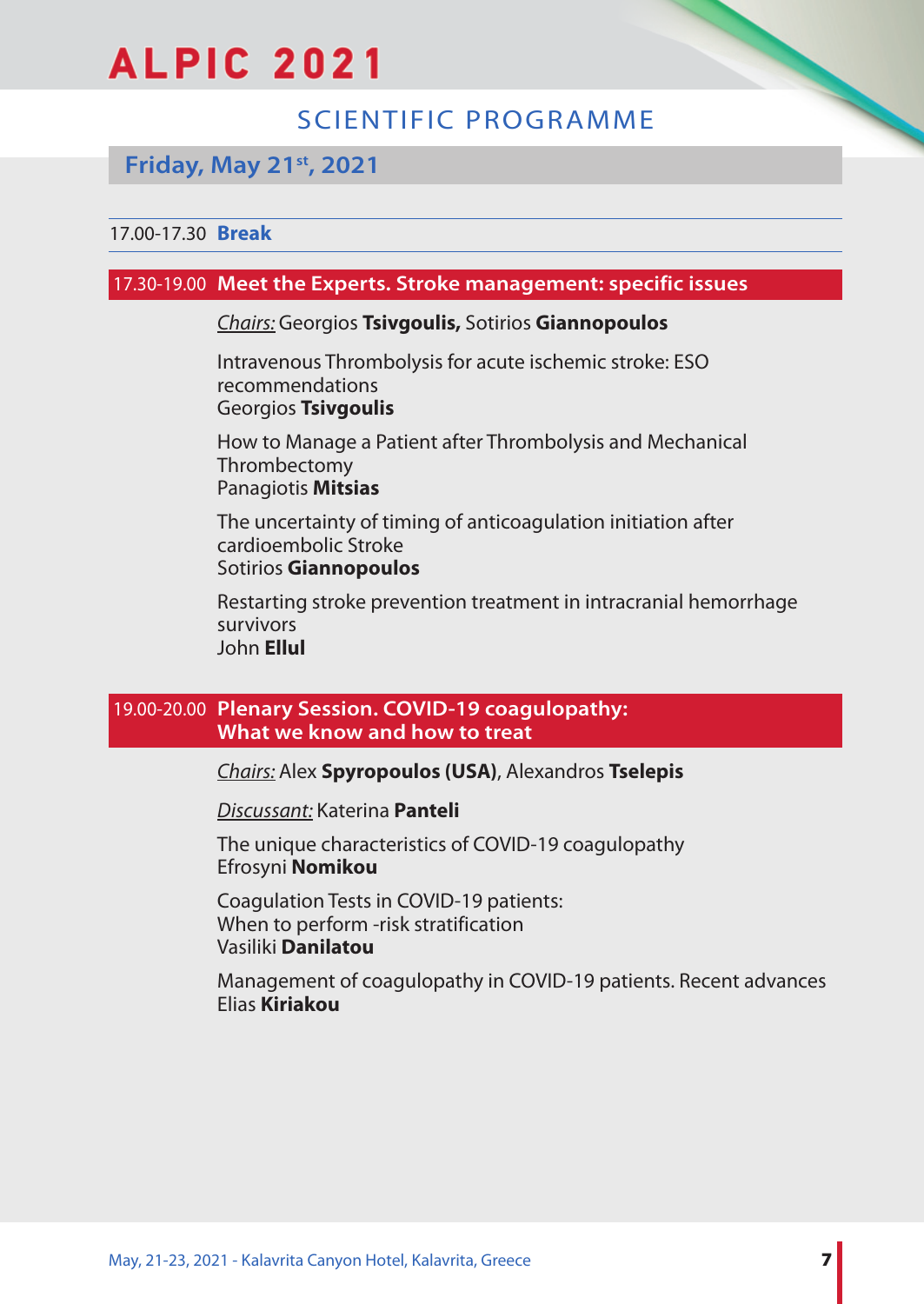## SCIENTIFIC PROGRAMME

## **Friday, May 21st, 2021**

## 17.00-17.30 **Break**

## 17.30-19.00 **Meet the Experts. Stroke management: specific issues**

#### *Chairs:* Georgios **Tsivgoulis,** Sotirios **Giannopoulos**

Intravenous Thrombolysis for acute ischemic stroke: ESO recommendations Georgios **Tsivgoulis**

How to Manage a Patient after Thrombolysis and Mechanical Thrombectomy Panagiotis **Mitsias**

The uncertainty of timing of anticoagulation initiation after cardioembolic Stroke Sotirios **Giannopoulos**

Restarting stroke prevention treatment in intracranial hemorrhage survivors John **Ellul**

## 19.00-20.00 **Plenary Session. COVID-19 coagulopathy: What we know and how to treat**

*Chairs:* Alex **Spyropoulos (USA)**, Alexandros **Tselepis**

*Discussant:* Katerina **Panteli**

The unique characteristics of COVID-19 coagulopathy Efrosyni **Nomikou**

Coagulation Tests in COVID-19 patients: When to perform -risk stratification Vasiliki **Danilatou**

Management of coagulopathy in COVID-19 patients. Recent advances Elias **Kiriakou**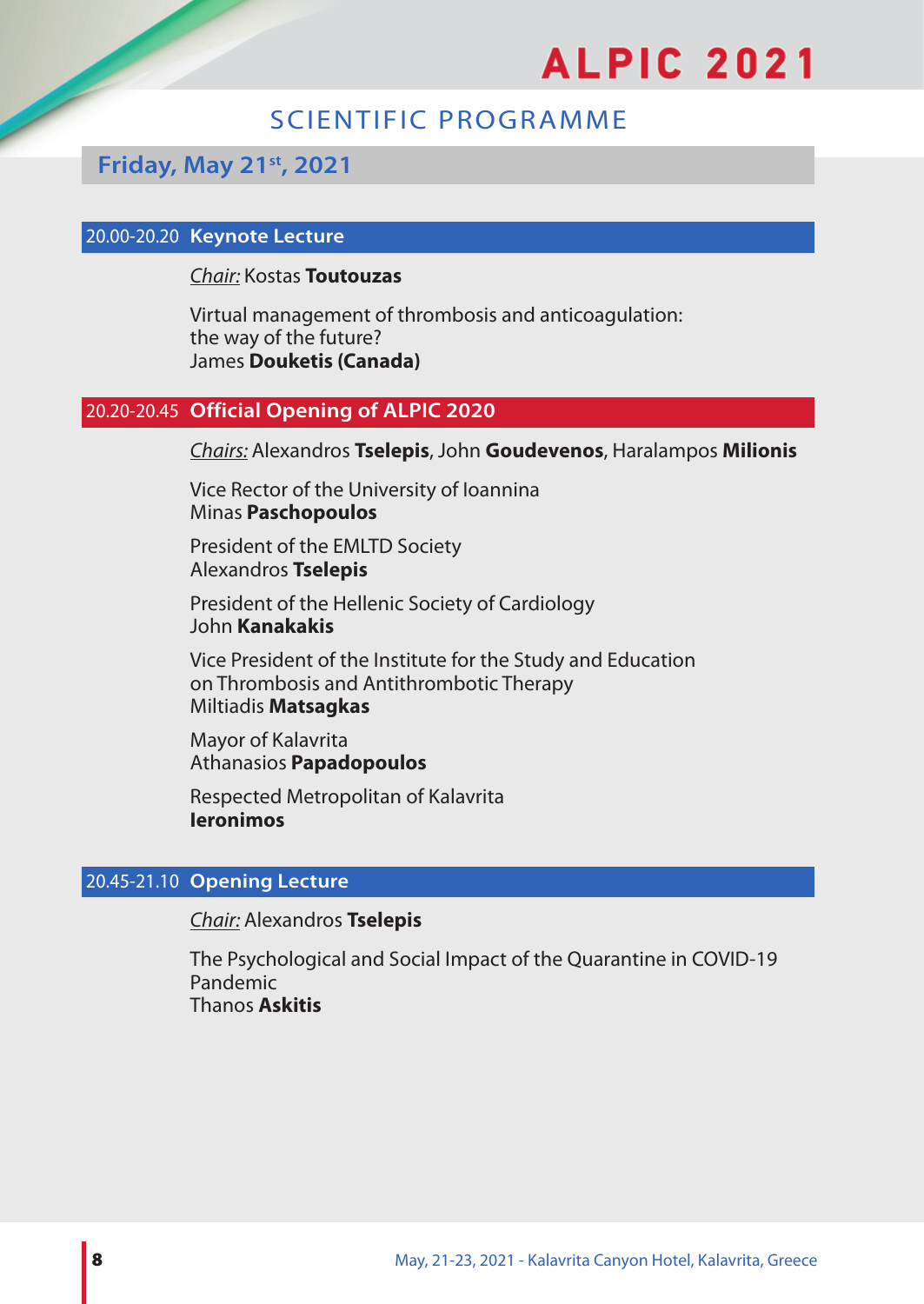## SCIENTIFIC PROGRAMME

## **Friday, May 21st, 2021**

#### 20.00-20.20 **Keynote Lecture**

#### *Chair:* Kostas **Toutouzas**

Virtual management of thrombosis and anticoagulation: the way of the future? James **Douketis (Canada)**

## 20.20-20.45 **Official Opening of ALPIC 2020**

*Chairs:* Alexandros **Tselepis**, John **Goudevenos**, Haralampos **Milionis**

Vice Rector of the University of Ioannina Minas **Paschopoulos**

President of the EMLTD Society Alexandros **Tselepis**

President of the Hellenic Society of Cardiology John **Kanakakis**

Vice President of the Institute for the Study and Education on Thrombosis and Antithrombotic Therapy Miltiadis **Matsagkas**

Mayor of Kalavrita Athanasios **Papadopoulos**

Respected Metropolitan of Kalavrita **Ieronimos**

## 20.45-21.10 **Opening Lecture**

*Chair:* Alexandros **Tselepis**

The Psychological and Social Impact of the Quarantine in COVID-19 Pandemic Thanos **Askitis**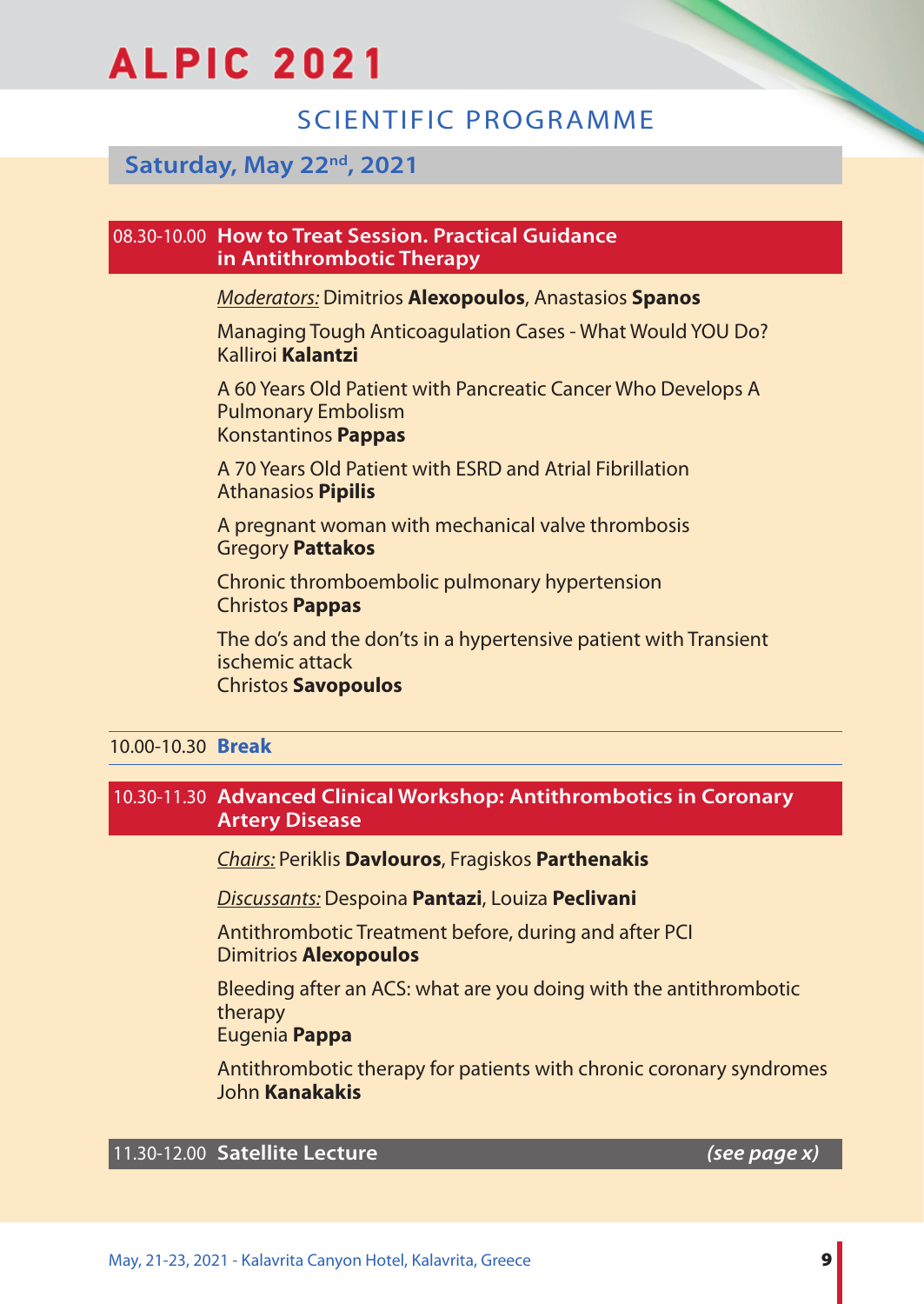## SCIENTIFIC PROGRAMME

## **Saturday, Μay 22nd, 2021**

#### 08.30-10.00 **How to Treat Session. Practical Guidance in Antithrombotic Therapy**

#### *Moderators:* Dimitrios **Alexopoulos**, Anastasios **Spanos**

Managing Tough Anticoagulation Cases - What Would YOU Do? Kalliroi **Kalantzi**

A 60 Years Old Patient with Pancreatic Cancer Who Develops A Pulmonary Embolism Konstantinos **Pappas**

A 70 Years Old Patient with ESRD and Atrial Fibrillation Athanasios **Pipilis**

Α pregnant woman with mechanical valve thrombosis Gregory **Pattakos**

Chronic thromboembolic pulmonary hypertension Christos **Pappas**

The do's and the don'ts in a hypertensive patient with Transient ischemic attack Christos **Savopoulos**

## 10.00-10.30 **Break**

## 10.30-11.30 **Advanced Clinical Workshop: Antithrombotics in Coronary Artery Disease**

*Chairs:* Periklis **Davlourοs**, Fragiskos **Parthenakis**

*Discussants:* Despoina **Pantazi**, Louiza **Peclivani**

Antithrombotic Treatment before, during and after PCI Dimitrios **Alexopoulos**

Bleeding after an ACS: what are you doing with the antithrombotic therapy

Eugenia **Pappa**

Antithrombotic therapy for patients with chronic coronary syndromes John **Kanakakis**

## 11.30-12.00 **Satellite Lecture** *(see page x)*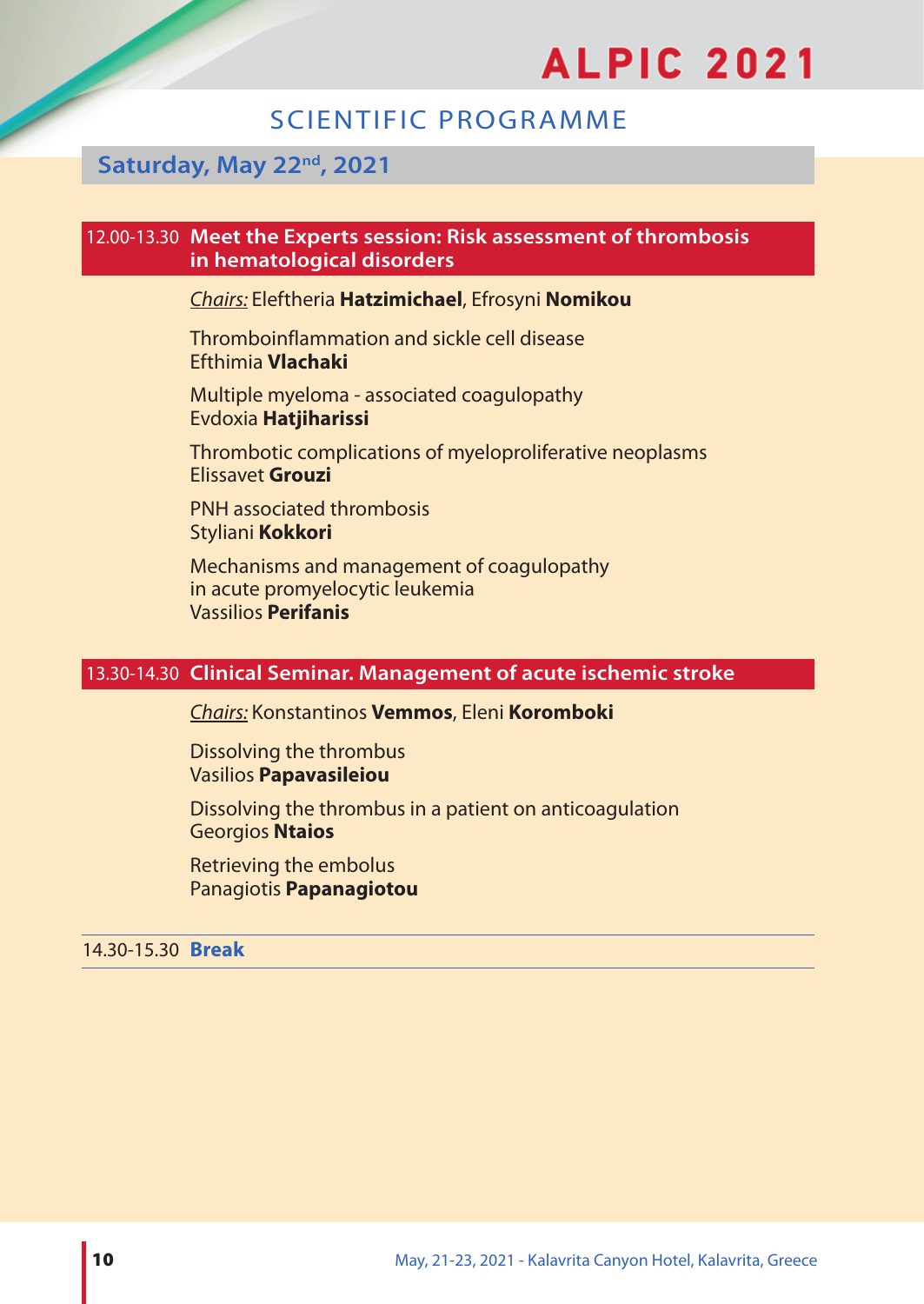## SCIENTIFIC PROGRAMME

## **Saturday, Μay 22nd, 2021**

#### 12.00-13.30 **Meet the Experts session: Risk assessment of thrombosis in hematological disorders**

## *Chairs:* Eleftheria **Hatzimichael**, Efrosyni **Nomikou**

Thromboinflammation and sickle cell disease Efthimia **Vlachaki**

Multiple myeloma - associated coagulopathy Evdoxia **Hatjiharissi**

Thrombotic complications of myeloproliferative neoplasms Elissavet **Grouzi**

PNH associated thrombosis Styliani **Kokkori**

Mechanisms and management of coagulopathy in acute promyelocytic leukemia Vassilios **Perifanis**

## 13.30-14.30 **Clinical Seminar. Management of acute ischemic stroke**

*Chairs:* Konstantinos **Vemmos**, Eleni **Koromboki**

Dissolving the thrombus Vasilios **Papavasileiou**

Dissolving the thrombus in a patient on anticoagulation Georgios **Ntaios**

Retrieving the embolus Panagiotis **Papanagiotou**

## 14.30-15.30 **Break**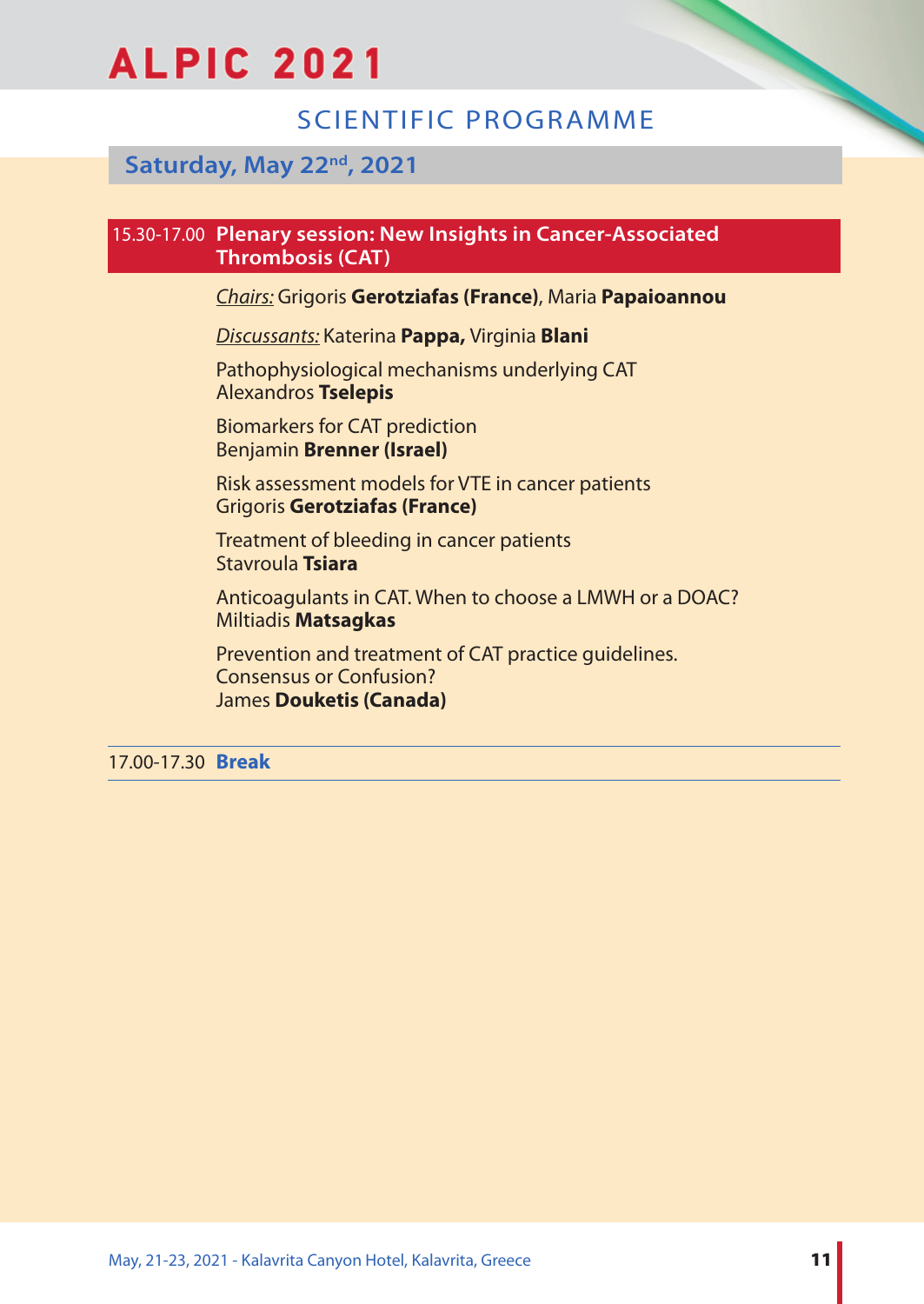## SCIENTIFIC PROGRAMME

## **Saturday, Μay 22nd, 2021**

## 15.30-17.00 **Plenary session: New Insights in Cancer-Associated Thrombosis (CAT)**

*Chairs:* Grigoris **Gerotziafas (France)**, Maria **Papaioannou**

*Discussants:* Katerina **Pappa,** Virginia **Blani**

Pathophysiological mechanisms underlying CAT Alexandros **Tselepis**

Biomarkers for CAT prediction Benjamin **Brenner (Israel)**

Risk assessment models for VTE in cancer patients Grigoris **Gerotziafas (France)**

Treatment of bleeding in cancer patients Stavroula **Tsiara**

Anticoagulants in CAT. When to choose a LMWH or a DOAC? Miltiadis **Matsagkas**

Prevention and treatment of CAT practice guidelines. Consensus or Confusion? James **Douketis (Canada)**

17.00-17.30 **Break**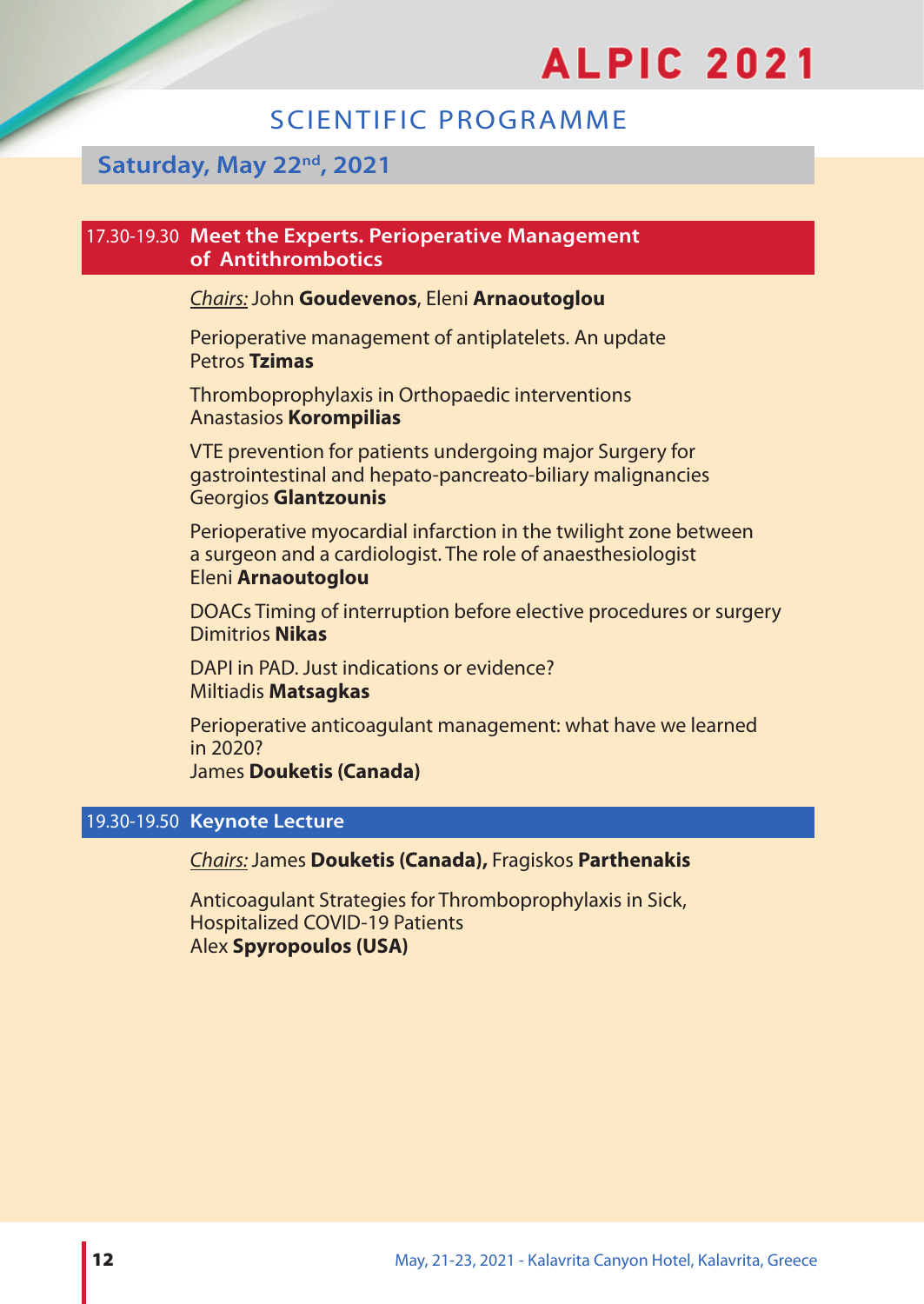## SCIENTIFIC PROGRAMME

## **Saturday, Μay 22nd, 2021**

#### 17.30-19.30 **Meet the Experts. Perioperative Management of Antithrombotics**

## *Chairs:*John **Goudevenos**, Eleni **Arnaoutoglou**

Perioperative management of antiplatelets. An update Petros **Tzimas**

Thromboprophylaxis in Orthopaedic interventions Anastasios **Korompilias**

VTE prevention for patients undergoing major Surgery for gastrointestinal and hepato-pancreato-biliary malignancies Georgios **Glantzounis**

Perioperative myocardial infarction in the twilight zone between a surgeon and a cardiologist. The role of anaesthesiologist Eleni **Arnaoutoglou**

DOACs Timing of interruption before elective procedures or surgery Dimitrios **Nikas**

DAPI in PAD. Just indications or evidence? Miltiadis **Matsagkas**

Perioperative anticoagulant management: what have we learned in 2020? James **Douketis (Canada)**

#### 19.30-19.50 **Keynote Lecture**

#### *Chairs:*James **Douketis (Canada),** Fragiskos **Parthenakis**

Anticoagulant Strategies for Thromboprophylaxis in Sick, Hospitalized COVID-19 Patients Alex **Spyropoulos (USA)**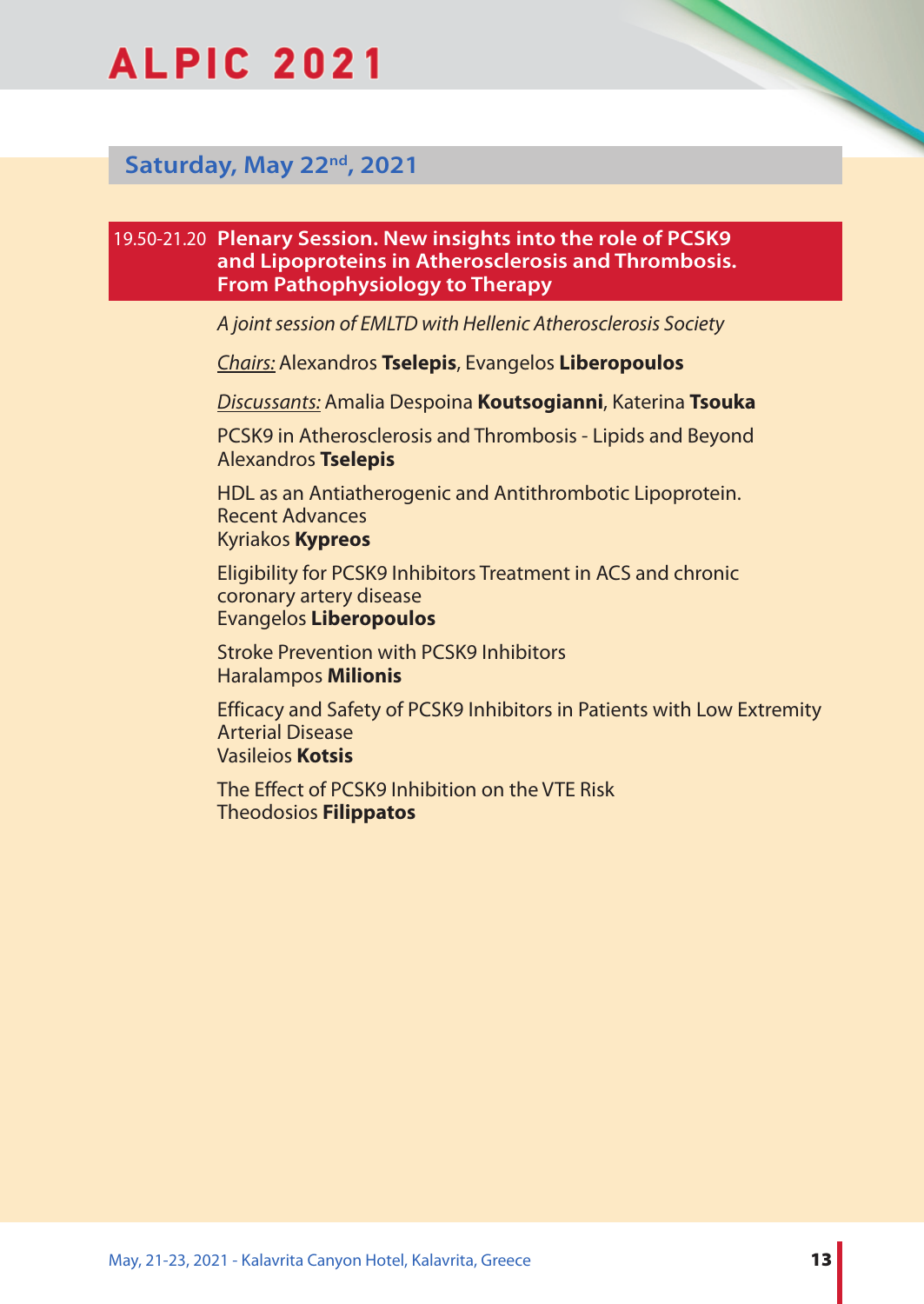

## **Saturday, Μay 22nd, 2021**

### 19.50-21.20 **Plenary Session. New insights into the role of PCSK9 and Lipoproteins in Atherosclerosis and Thrombosis. From Pathophysiology to Therapy**

*A joint session of EMLTD with Hellenic Atherosclerosis Society*

*Chairs:* Alexandros **Tselepis**, Evangelos **Liberopoulos**

*Discussants:* Amalia Despoina **Koutsogianni**, Katerina **Tsouka**

PCSK9 in Atherosclerosis and Thrombosis - Lipids and Beyond Alexandros **Tselepis**

HDL as an Antiatherogenic and Antithrombotic Lipoprotein. Recent Advances Kyriakos **Kypreos**

Eligibility for PCSK9 Inhibitors Treatment in ACS and chronic coronary artery disease Evangelos **Liberopoulos**

Stroke Prevention with PCSK9 Inhibitors Haralampos **Milionis**

Efficacy and Safety of PCSK9 Inhibitors in Patients with Low Extremity Arterial Disease Vasileios **Kotsis**

The Effect of PCSK9 Inhibition on the VTE Risk Theodosios **Filippatos**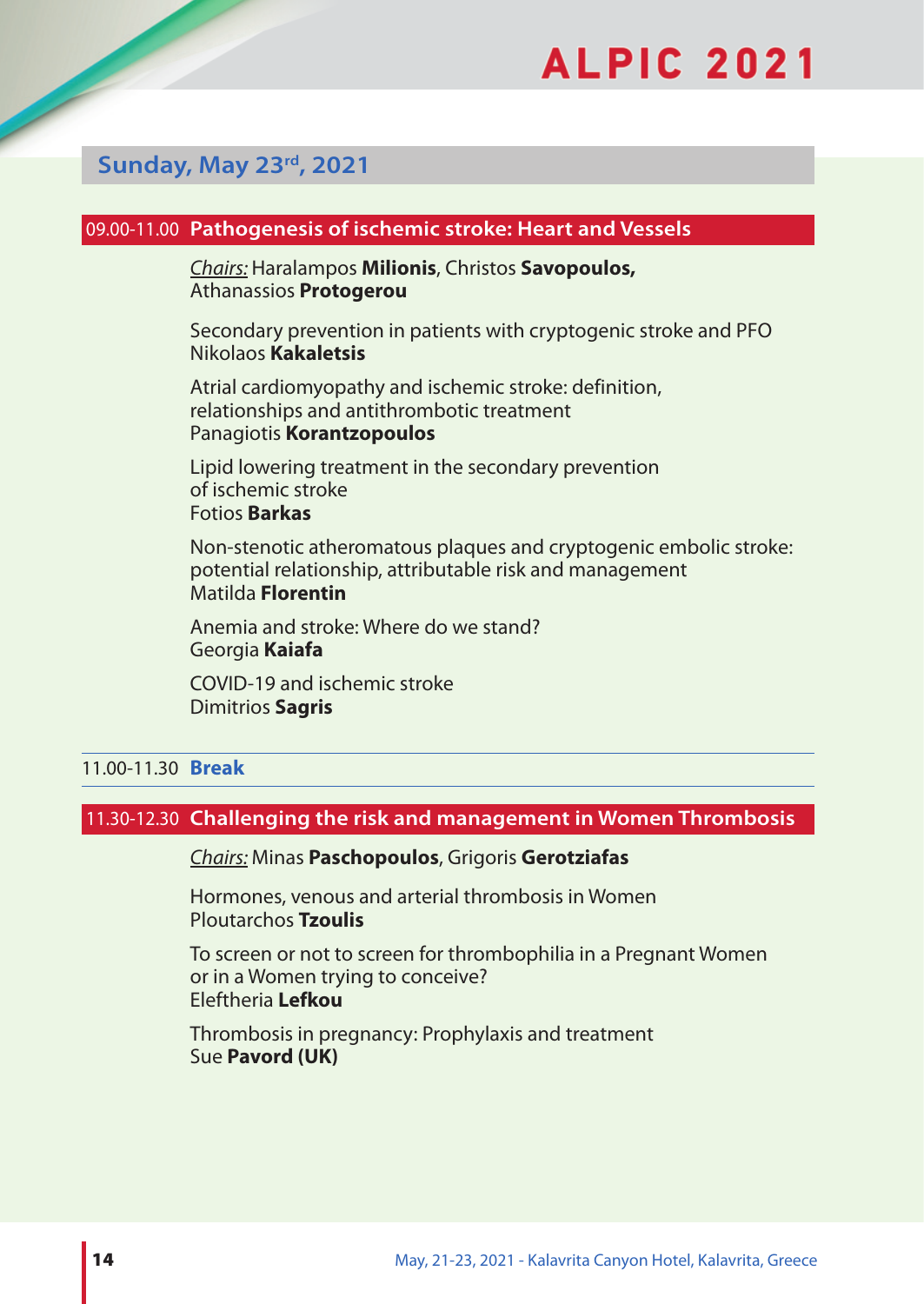## **Sunday, Μay 23rd, 2021**

#### 09.00-11.00 **Pathogenesis of ischemic stroke: Heart and Vessels**

*Chairs:* Haralampos **Milionis**, Christos **Savopoulos,**  Athanassios **Protogerou**

Secondary prevention in patients with cryptogenic stroke and PFO Nikolaos **Kakaletsis**

Atrial cardiomyopathy and ischemic stroke: definition, relationships and antithrombotic treatment Panagiotis **Korantzopoulos**

Lipid lowering treatment in the secondary prevention of ischemic stroke Fotios **Barkas**

Non-stenotic atheromatous plaques and cryptogenic embolic stroke: potential relationship, attributable risk and management Matilda **Florentin**

Anemia and stroke: Where do we stand? Georgia **Kaiafa**

COVID-19 and ischemic stroke Dimitrios **Sagris**

## 11.00-11.30 **Break**

#### 11.30-12.30 **Challenging the risk and management in Women Thrombosis**

*Chairs:* Minas **Paschopoulos**, Grigoris **Gerotziafas**

Hormones, venous and arterial thrombosis in Women Ploutarchos **Tzoulis**

To screen or not to screen for thrombophilia in a Pregnant Women or in a Women trying to conceive? Eleftheria **Lefkou**

Thrombosis in pregnancy: Prophylaxis and treatment Sue **Pavord (UK)**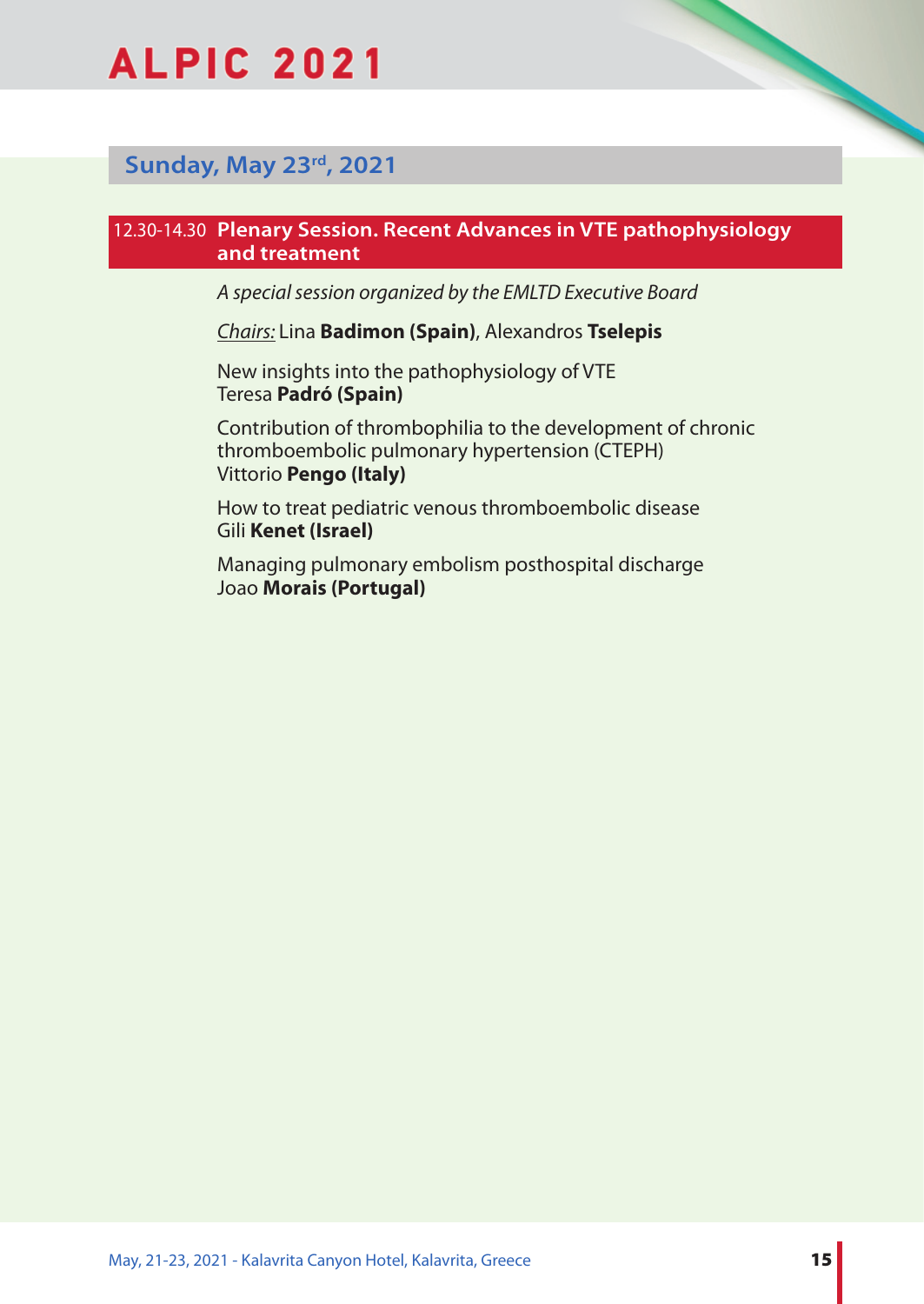

## **Sunday, Μay 23rd, 2021**

#### 12.30-14.30 **Plenary Session. Recent Advances in VTE pathophysiology and treatment**

*A special session organized by the EMLTD Executive Board*

*Chairs:* Lina **Badimon (Spain)**, Alexandros **Tselepis**

New insights into the pathophysiology of VTE Teresa **Padró (Spain)**

Contribution of thrombophilia to the development of chronic thromboembolic pulmonary hypertension (CTEPH) Vittorio **Pengo (Italy)**

How to treat pediatric venous thromboembolic disease Gili **Kenet (Israel)**

Managing pulmonary embolism posthospital discharge Joao **Morais (Portugal)**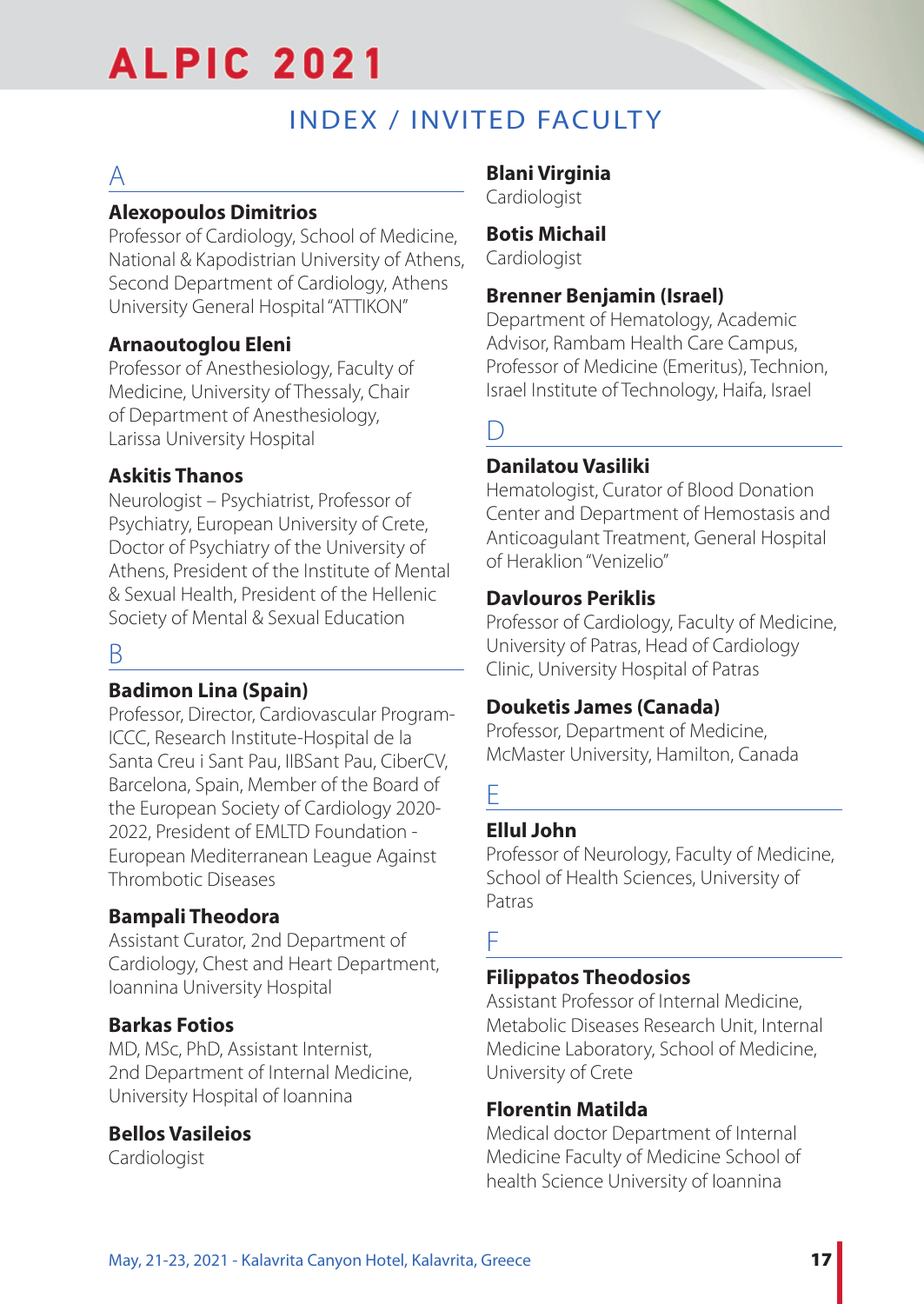## INDEX / INVITED FACULTY

## $\underline{A}$

## **Alexopoulos Dimitrios**

Professor of Cardiology, School of Medicine, National & Kapodistrian University of Athens, Second Department of Cardiology, Athens University General Hospital "ATTIKON"

## **Arnaoutoglou Eleni**

Professor of Anesthesiology, Faculty of Medicine, University of Thessaly, Chair of Department of Anesthesiology, Larissa University Hospital

## **Askitis Thanos**

Neurologist – Psychiatrist, Professor of Psychiatry, European University of Crete, Doctor of Psychiatry of the University of Athens, President of the Institute of Mental & Sexual Health, President of the Hellenic Society of Mental & Sexual Education

## B

## **Badimon Lina (Spain)**

Professor, Director, Cardiovascular Program-ICCC, Research Institute-Hospital de la Santa Creu i Sant Pau, IIBSant Pau, CiberCV, Barcelona, Spain, Member of the Board of the European Society of Cardiology 2020- 2022, President of EMLTD Foundation - European Mediterranean League Against Thrombotic Diseases

## **Bampali Theodora**

Assistant Curator, 2nd Department of Cardiology, Chest and Heart Department, Ioannina University Hospital

## **Barkas Fotios**

MD, MSc, PhD, Assistant Internist, 2nd Department of Internal Medicine, University Hospital of Ioannina

## **Bellos Vasileios**

Cardiologist

## **Blani Virginia**

Cardiologist

## **Botis Michail**

Cardiologist

## **Brenner Benjamin (Israel)**

Department of Hematology, Academic Advisor, Rambam Health Care Campus, Professor of Medicine (Emeritus), Technion, Israel Institute of Technology, Haifa, Israel

 $\overline{\mathsf{D}}$ 

## **Danilatou Vasiliki**

Hematologist, Curator of Blood Donation Center and Department of Hemostasis and Anticoagulant Treatment, General Hospital of Heraklion "Venizelio"

## **Davlourοs Periklis**

Professor of Cardiology, Faculty of Medicine, University of Patras, Head of Cardiology Clinic, University Hospital of Patras

## **Douketis James (Canada)**

Professor, Department of Medicine, McMaster University, Hamilton, Canada

## E

## **Ellul John**

Professor of Neurology, Faculty of Medicine, School of Health Sciences, University of Patras

## F

## **Filippatos Theodosios**

Assistant Professor of Internal Medicine, Metabolic Diseases Research Unit, Internal Medicine Laboratory, School of Medicine, University of Crete

## **Florentin Matilda**

Medical doctor Department of Internal Medicine Faculty of Medicine School of health Science University of Ioannina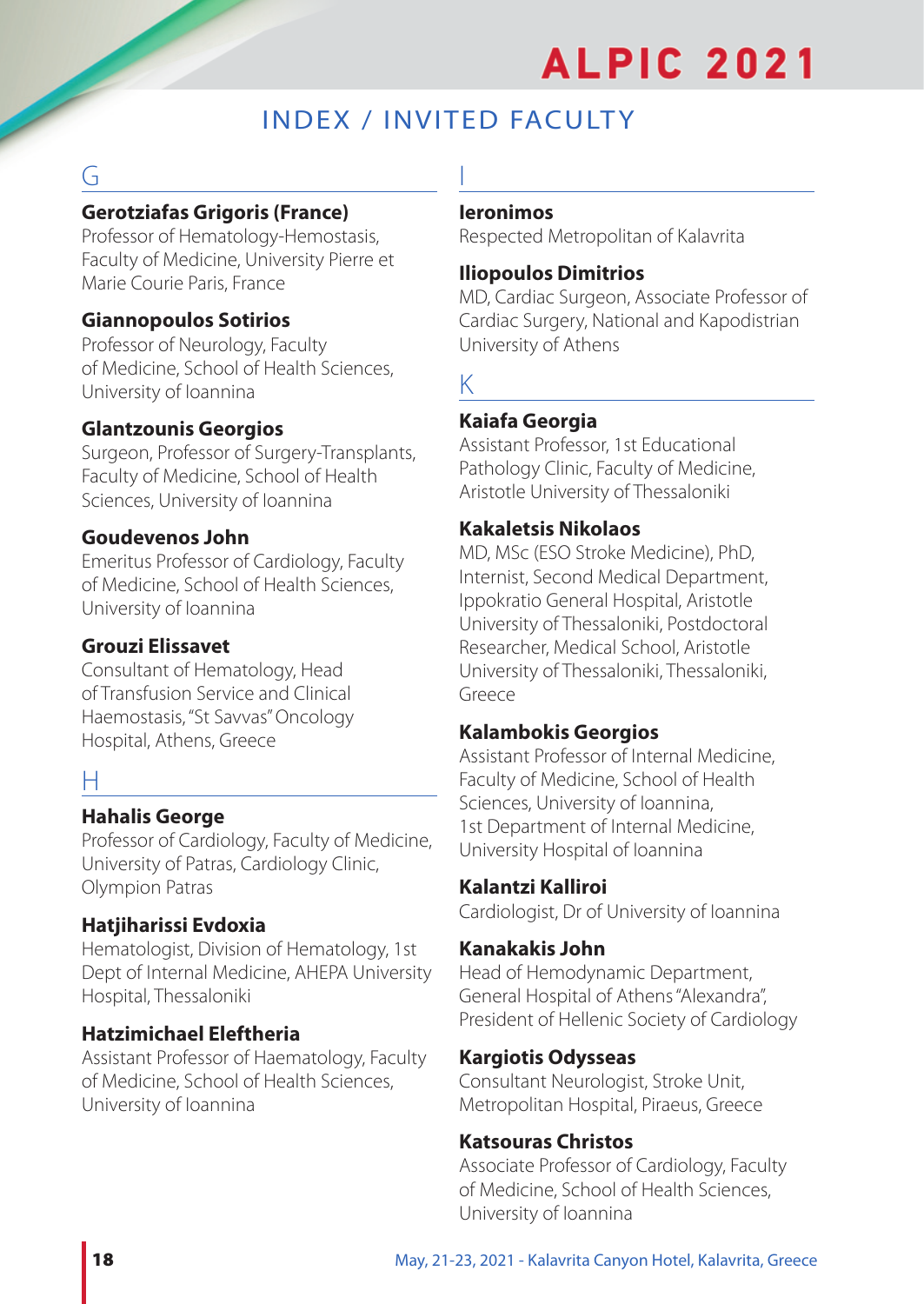## INDEX / INVITED FACULTY

I

## G

## **Gerotziafas Grigoris (France)**

Professor of Hematology-Hemostasis, Faculty of Medicine, University Pierre et Marie Courie Paris, France

## **Giannopoulos Sotirios**

Professor of Neurology, Faculty of Medicine, School of Health Sciences, University of Ioannina

## **Glantzounis Georgios**

Surgeon, Professor of Surgery-Transplants, Faculty of Medicine, School of Health Sciences, University of Ioannina

## **Goudevenos John**

Emeritus Professor of Cardiology, Faculty of Medicine, School of Health Sciences, University of Ioannina

## **Grouzi Elissavet**

Consultant of Hematology, Head of Transfusion Service and Clinical Haemostasis, "St Savvas" Oncology Hospital, Athens, Greece

## H

## **Hahalis George**

Professor of Cardiology, Faculty of Medicine, University of Patras, Cardiology Clinic, Olympion Patras

## **Hatjiharissi Evdoxia**

Hematologist, Division of Hematology, 1st Dept of Internal Medicine, AHEPA University Hospital, Thessaloniki

## **Hatzimichael Eleftheria**

Assistant Professor of Haematology, Faculty of Medicine, School of Health Sciences, University of Ioannina

#### **Ieronimos**

Respected Metropolitan of Kalavrita

#### **Iliopoulos Dimitrios**

MD, Cardiac Surgeon, Associate Professor of Cardiac Surgery, National and Kapodistrian University of Athens

## K

## **Kaiafa Georgia**

Assistant Professor, 1st Educational Pathology Clinic, Faculty of Medicine, Aristotle University of Thessaloniki

## **Kakaletsis Nikolaos**

MD, MSc (ESO Stroke Medicine), PhD, Internist, Second Medical Department, Ippokratio General Hospital, Aristotle University of Thessaloniki, Postdoctoral Researcher, Medical School, Aristotle University of Thessaloniki, Thessaloniki, Greece

## **Kalambokis Georgios**

Assistant Professor of Internal Medicine, Faculty of Medicine, School of Health Sciences, University of Ioannina, 1st Department of Internal Medicine, University Hospital of Ioannina

#### **Kalantzi Kalliroi**

Cardiologist, Dr of University of Ioannina

## **Kanakakis John**

Head of Hemodynamic Department, General Hospital of Athens "Alexandra", President of Hellenic Society of Cardiology

## **Kargiotis Odysseas**

Consultant Neurologist, Stroke Unit, Metropolitan Hospital, Piraeus, Greece

## **Katsouras Christos**

Associate Professor of Cardiology, Faculty of Medicine, School of Health Sciences, University of Ioannina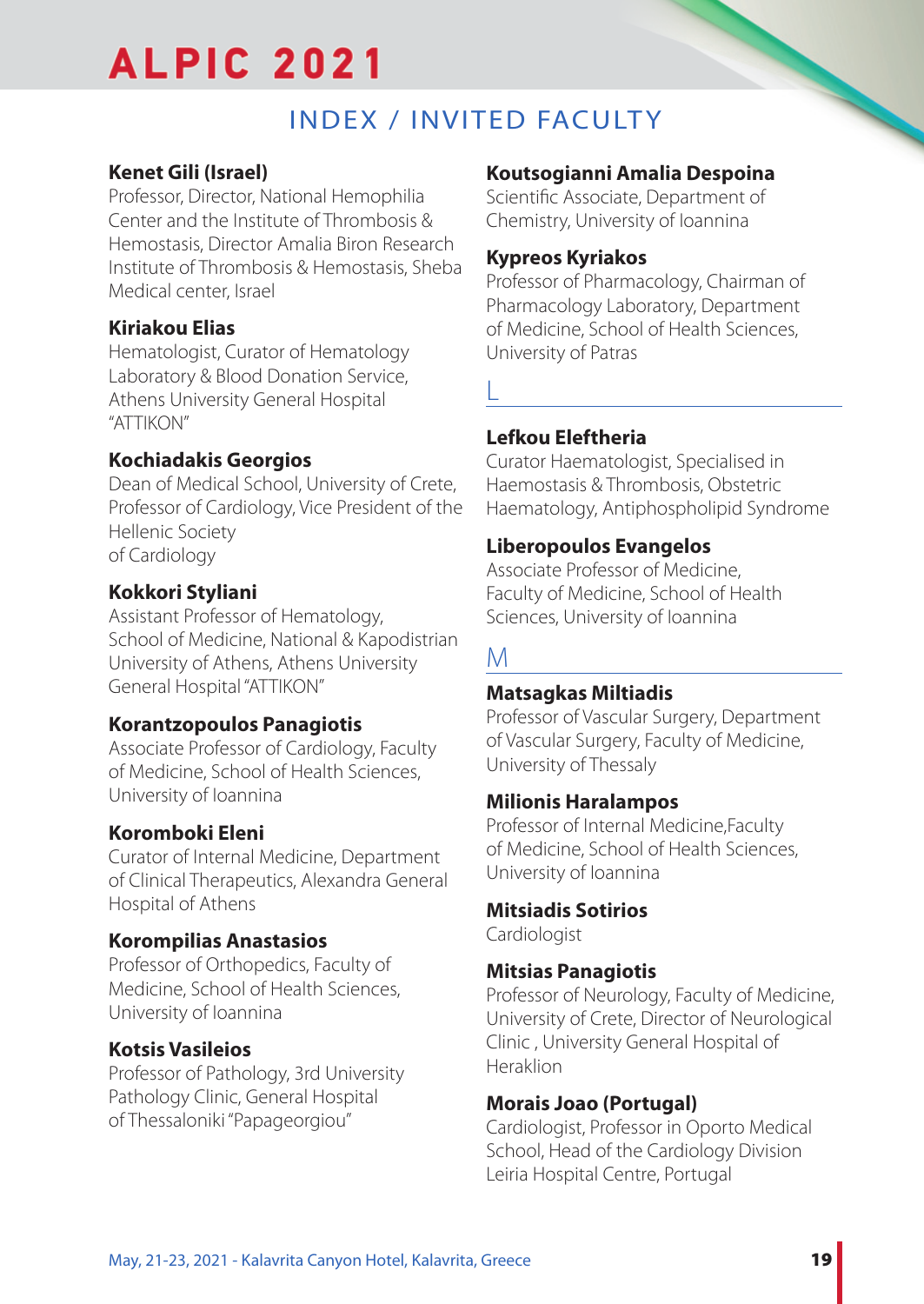## INDEX / INVITED FACULTY

## **Kenet Gili (Israel)**

Professor, Director, National Hemophilia Center and the Institute of Thrombosis & Hemostasis, Director Amalia Biron Research Institute of Thrombosis & Hemostasis, Sheba Medical center, Israel

## **Kiriakou Elias**

Hematologist, Curator of Hematology Laboratory & Blood Donation Service, Athens University General Hospital "ATTIKON"

## **Kochiadakis Georgios**

Dean of Medical School, University of Crete, Professor of Cardiology, Vice President of the Hellenic Society of Cardiology

## **Kokkori Styliani**

Assistant Professor of Hematology, School of Medicine, National & Kapodistrian University of Athens, Athens University General Hospital "ATTIKON"

## **Korantzopoulos Panagiotis**

Associate Professor of Cardiology, Faculty of Medicine, School of Health Sciences, University of Ioannina

## **Koromboki Eleni**

Curator of Internal Medicine, Department of Clinical Therapeutics, Alexandra General Hospital of Athens

## **Korompilias Anastasios**

Professor of Orthopedics, Faculty of Medicine, School of Health Sciences, University of Ioannina

## **Kotsis Vasileios**

Professor of Pathology, 3rd University Pathology Clinic, General Hospital of Thessaloniki "Papageorgiou"

## **Koutsogianni Amalia Despoina**

Scientific Associate, Department of Chemistry, University of Ioannina

## **Kypreos Kyriakos**

Professor of Pharmacology, Chairman of Pharmacology Laboratory, Department of Medicine, School of Health Sciences, University of Patras

L

## **Lefkou Eleftheria**

Curator Haematologist, Specialised in Haemostasis & Thrombosis, Obstetric Haematology, Antiphospholipid Syndrome

## **Liberopoulos Evangelos**

Associate Professor of Medicine, Faculty of Medicine, School of Health Sciences, University of Ioannina

## M

## **Matsagkas Miltiadis**

Professor of Vascular Surgery, Department of Vascular Surgery, Faculty of Medicine, University of Thessaly

## **Milionis Haralampos**

Professor of Internal Medicine,Faculty of Medicine, School of Health Sciences, University of Ioannina

## **Mitsiadis Sotirios**

Cardiologist

## **Mitsias Panagiotis**

Professor of Neurology, Faculty of Medicine, University of Crete, Director of Neurological Clinic , University General Hospital of Heraklion

## **Morais Joao (Portugal)**

Cardiologist, Professor in Oporto Medical School, Head of the Cardiology Division Leiria Hospital Centre, Portugal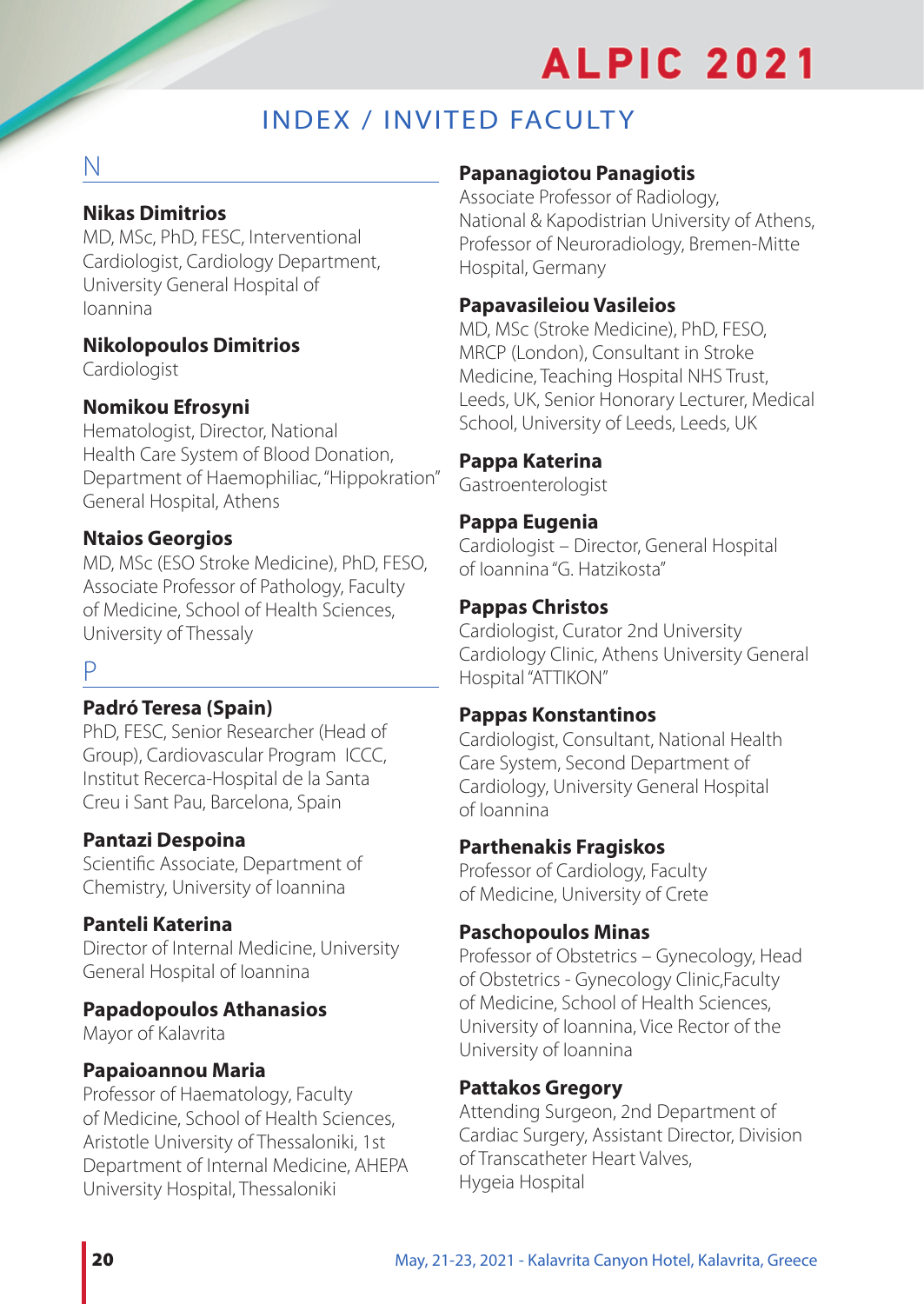## INDEX / INVITED FACULTY

## N

## **Nikas Dimitrios**

MD, MSc, PhD, FESC, Interventional Cardiologist, Cardiology Department, University General Hospital of Ioannina

## **Nikolopoulos Dimitrios**

Cardiologist

## **Nomikou Efrosyni**

Hematologist, Director, National Health Care System of Blood Donation, Department of Haemophiliac, "Hippokration" General Hospital, Athens

## **Ntaios Georgios**

MD, MSc (ESO Stroke Medicine), PhD, FESO, Associate Professor of Pathology, Faculty of Medicine, School of Health Sciences, University of Thessaly

## P

## **Padró Teresa (Spain)**

PhD, FESC, Senior Researcher (Head of Group), Cardiovascular Program ICCC, Institut Recerca-Hospital de la Santa Creu i Sant Pau, Barcelona, Spain

## **Pantazi Despoina**

Scientific Associate, Department of Chemistry, University of Ioannina

## **Panteli Katerina**

Director of Internal Medicine, University General Hospital of Ioannina

## **Papadopoulos Athanasios**

Mayor of Kalavrita

## **Papaioannou Maria**

Professor of Haematology, Faculty of Medicine, School of Health Sciences, Aristotle University of Thessaloniki, 1st Department of Internal Medicine, AHEPA University Hospital, Thessaloniki

## **Papanagiotou Panagiotis**

Associate Professor of Radiology, National & Kapodistrian University of Athens, Professor of Neuroradiology, Bremen-Mitte Hospital, Germany

#### **Papavasileiou Vasileios**

MD, MSc (Stroke Medicine), PhD, FESO, MRCP (London), Consultant in Stroke Medicine, Teaching Hospital NHS Trust, Leeds, UK, Senior Honorary Lecturer, Medical School, University of Leeds, Leeds, UK

## **Pappa Katerina**

Gastroenterologist

## **Pappa Eugenia**

Cardiologist – Director, General Hospital of Ioannina "G. Hatzikosta"

#### **Pappas Christos**

Cardiologist, Curator 2nd University Cardiology Clinic, Athens University General Hospital "ATTIKON"

#### **Pappas Konstantinos**

Cardiologist, Consultant, National Health Care System, Second Department of Cardiology, University General Hospital of Ioannina

#### **Parthenakis Fragiskos**

Professor of Cardiology, Faculty of Medicine, University of Crete

#### **Paschopoulos Minas**

Professor of Obstetrics – Gynecology, Head of Obstetrics - Gynecology Clinic,Faculty of Medicine, School of Health Sciences, University of Ioannina, Vice Rector of the University of Ioannina

## **Pattakos Gregory**

Attending Surgeon, 2nd Department of Cardiac Surgery, Assistant Director, Division of Transcatheter Heart Valves, Hygeia Hospital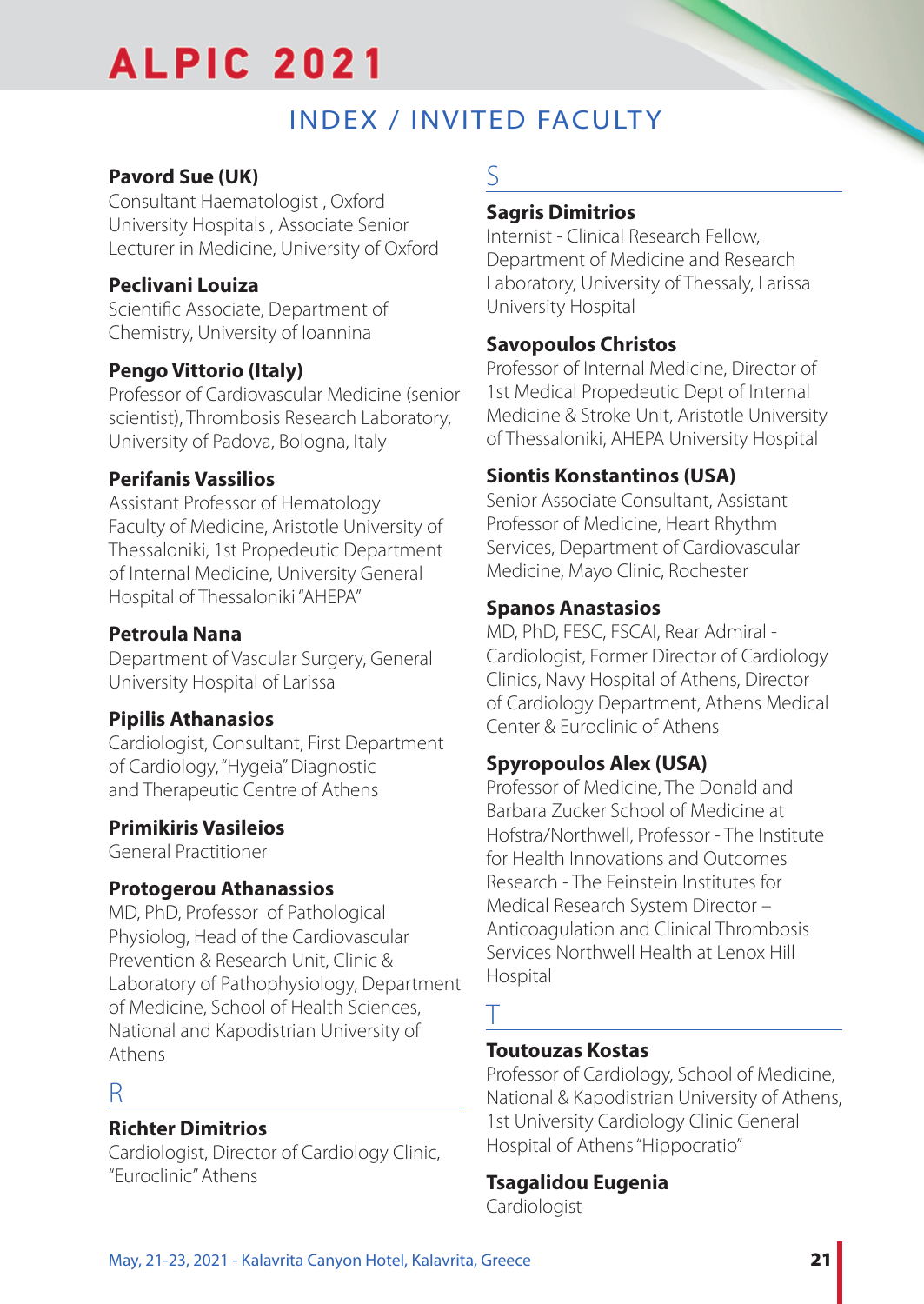## **INDEX / INVITED FACULTY**

## **Pavord Sue (UK)**

Consultant Haematologist , Oxford University Hospitals , Associate Senior Lecturer in Medicine, University of Oxford

## **Peclivani Louiza**

Scientific Associate, Department of Chemistry, University of Ioannina

## **Pengo Vittorio (Italy)**

Professor of Cardiovascular Medicine (senior scientist), Thrombosis Research Laboratory, University of Padova, Bologna, Italy

## **Perifanis Vassilios**

Assistant Professor of Hematology Faculty of Medicine, Aristotle University of Thessaloniki, 1st Propedeutic Department of Internal Medicine, University General Hospital of Thessaloniki "AHEPA"

## **Petroula Nana**

Department of Vascular Surgery, General University Hospital of Larissa

## **Pipilis Athanasios**

Cardiologist, Consultant, First Department of Cardiology, "Hygeia" Diagnostic and Therapeutic Centre of Athens

## **Primikiris Vasileios**

General Practitioner

## **Protogerou Athanassios**

MD, PhD, Professor of Pathological Physiolog, Head of the Cardiovascular Prevention & Research Unit, Clinic & Laboratory of Pathophysiology, Department of Medicine, School of Health Sciences, National and Kapodistrian University of Athens

## R

## **Richter Dimitrios**

Cardiologist, Director of Cardiology Clinic, "Euroclinic" Athens

## S

## **Sagris Dimitrios**

Internist - Clinical Research Fellow, Department of Medicine and Research Laboratory, University of Thessaly, Larissa University Hospital

## **Savopoulos Christos**

Professor of Internal Medicine, Director of 1st Medical Propedeutic Dept of Internal Medicine & Stroke Unit, Aristotle University of Thessaloniki, AHEPA University Hospital

## **Siontis Konstantinos (USA)**

Senior Associate Consultant, Assistant Professor of Medicine, Heart Rhythm Services, Department of Cardiovascular Medicine, Mayo Clinic, Rochester

## **Spanos Anastasios**

MD, PhD, FESC, FSCAI, Rear Admiral - Cardiologist, Former Director of Cardiology Clinics, Navy Hospital of Athens, Director of Cardiology Department, Athens Medical Center & Euroclinic of Athens

## **Spyropoulos Alex (USA)**

Professor of Medicine, The Donald and Barbara Zucker School of Medicine at Hofstra/Northwell, Professor - The Institute for Health Innovations and Outcomes Research - The Feinstein Institutes for Medical Research System Director – Anticoagulation and Clinical Thrombosis Services Northwell Health at Lenox Hill Hospital

## T

## **Toutouzas Kostas**

Professor of Cardiology, School of Medicine, National & Kapodistrian University of Athens, 1st University Cardiology Clinic General Hospital of Athens "Hippocratio"

## **Tsagalidou Eugenia**

Cardiologist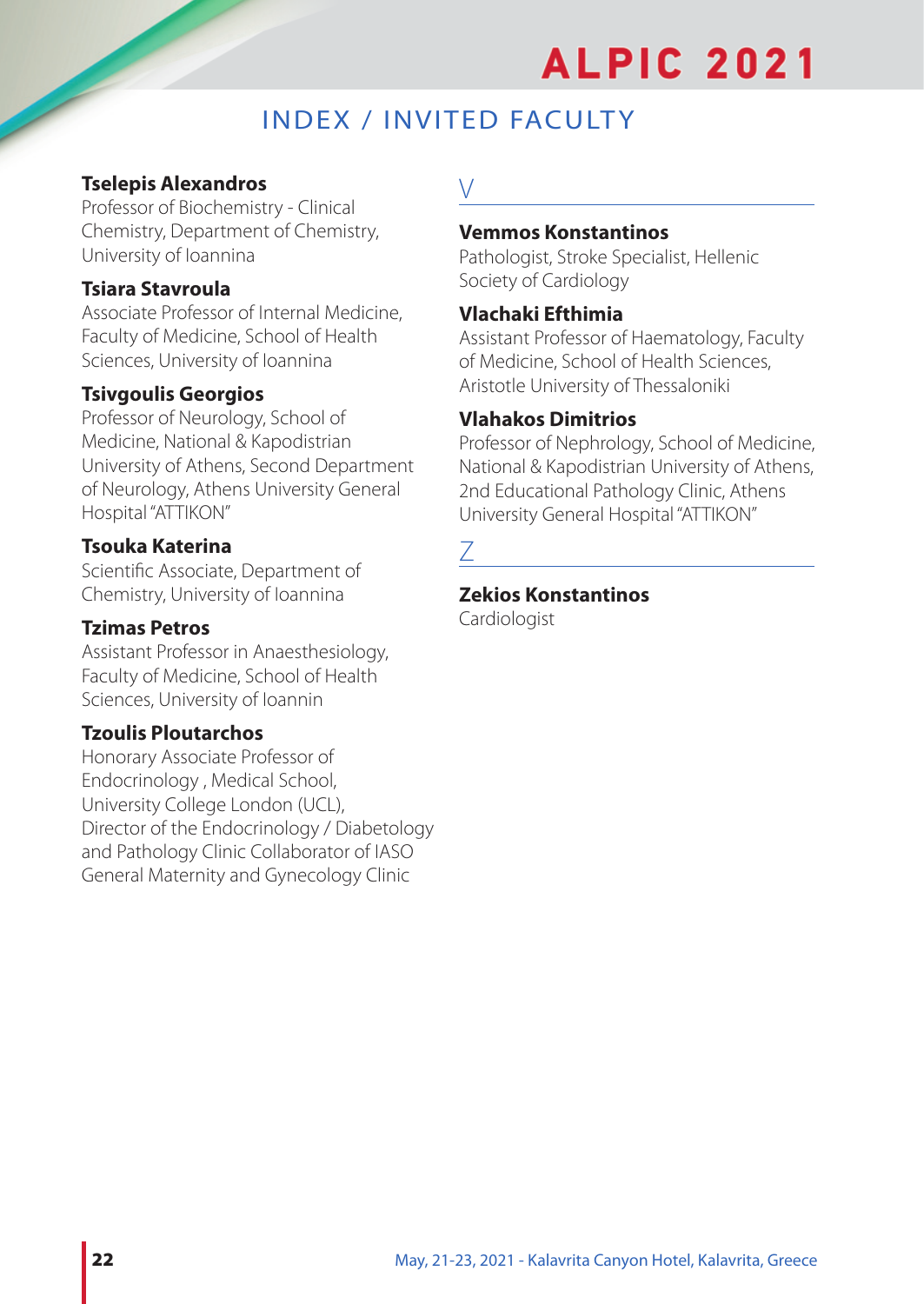## INDEX / INVITED FACULTY

## **Tselepis Alexandros**

Professor of Biochemistry - Clinical Chemistry, Department of Chemistry, University of Ioannina

## **Tsiara Stavroula**

Associate Professor of Internal Medicine, Faculty of Medicine, School of Health Sciences, University of Ioannina

## **Tsivgoulis Georgios**

Professor of Neurology, School of Medicine, National & Kapodistrian University of Athens, Second Department of Neurology, Athens University General Hospital "ATTIKON"

## **Tsouka Katerina**

Scientific Associate, Department of Chemistry, University of Ioannina

## **Tzimas Petros**

Assistant Professor in Anaesthesiology, Faculty of Medicine, School of Health Sciences, University of Ioannin

## **Tzoulis Ploutarchos**

Honorary Associate Professor of Endocrinology , Medical School, University College London (UCL), Director of the Endocrinology / Diabetology and Pathology Clinic Collaborator of IASO General Maternity and Gynecology Clinic

## $\vee$

#### **Vemmos Konstantinos**

Pathologist, Stroke Specialist, Hellenic Society of Cardiology

### **Vlachaki Efthimia**

Assistant Professor of Haematology, Faculty of Medicine, School of Health Sciences, Aristotle University of Thessaloniki

## **Vlahakos Dimitrios**

Professor of Nephrology, School of Medicine, National & Kapodistrian University of Athens, 2nd Educational Pathology Clinic, Athens University General Hospital "ATTIKON"

#### **Zekios Konstantinos**

Cardiologist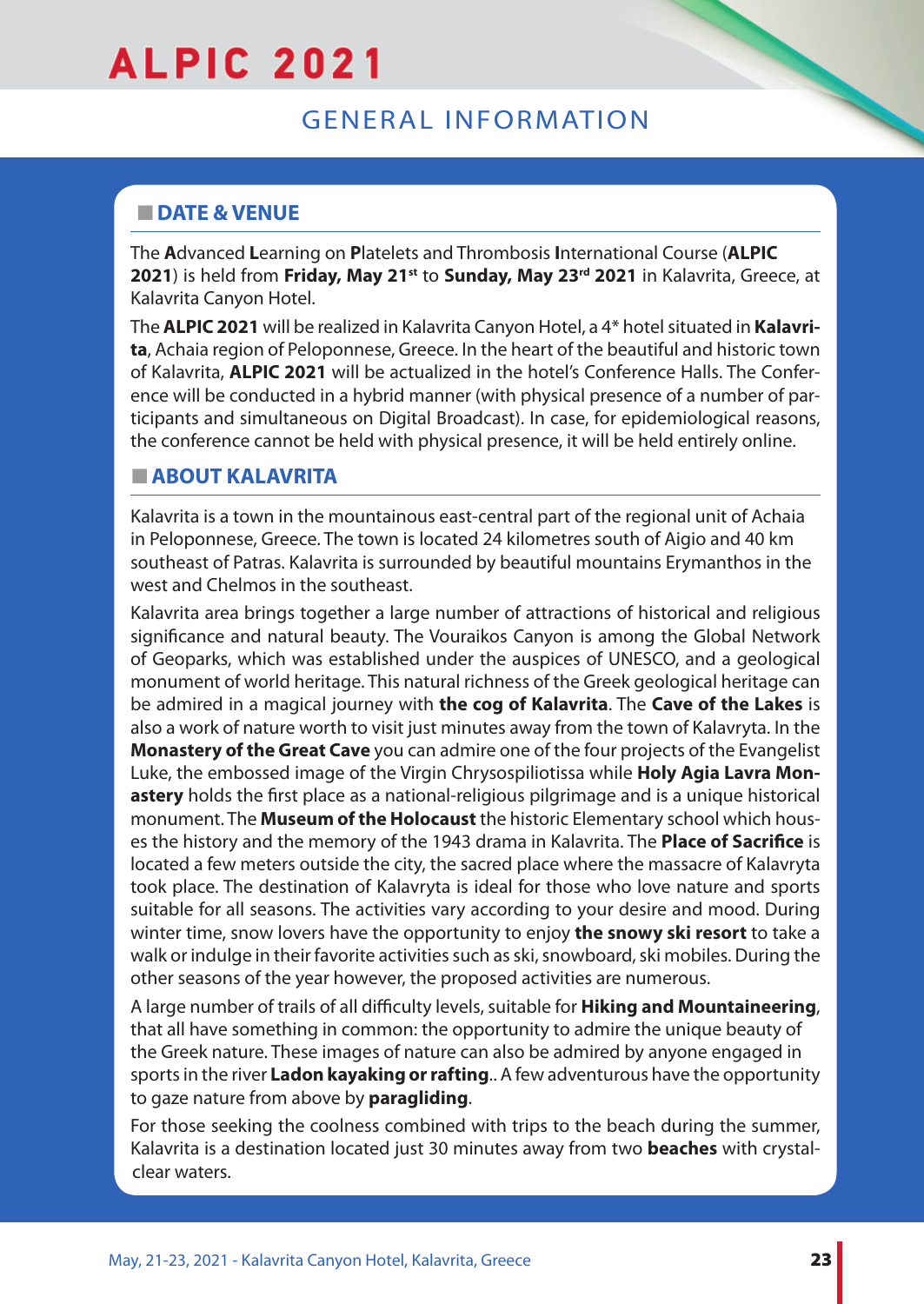## GENERAL INFORMATION

## **NO DATE & VENUE**

The **A**dvanced **L**earning on **P**latelets and Thrombosis **I**nternational Course (**ALPIC** 2021) is held from Friday, May 21<sup>st</sup> to Sunday, May 23<sup>rd</sup> 2021 in Kalavrita, Greece, at Kalavrita Canyon Hotel.

The **ALPIC 2021** will be realized in Kalavrita Canyon Hotel, a 4\* hotel situated in **Kalavrita**, Achaia region of Peloponnese, Greece. In the heart of the beautiful and historic town of Kalavrita, **ALPIC 2021** will be actualized in the hotel's Conference Halls. The Conference will be conducted in a hybrid manner (with physical presence of a number of participants and simultaneous on Digital Broadcast). In case, for epidemiological reasons, the conference cannot be held with physical presence, it will be held entirely online.

## **NABOUT KALAVRITA**

Kalavrita is a town in the mountainous east-central part of the regional unit of Achaia in Peloponnese, Greece. The town is located 24 kilometres south of Aigio and 40 km southeast of Patras. Kalavrita is surrounded by beautiful mountains Erymanthos in the west and Chelmos in the southeast.

Kalavrita area brings together a large number of attractions of historical and religious significance and natural beauty. The Vouraikos Canyon is among the Global Network of Geoparks, which was established under the auspices of UNESCO, and a geological monument of world heritage. This natural richness of the Greek geological heritage can be admired in a magical journey with **the cog of Kalavrita**. The **Cave of the Lakes** is also a work of nature worth to visit just minutes away from the town of Kalavryta. In the **Monastery of the Great Cave** you can admire one of the four projects of the Evangelist Luke, the embossed image of the Virgin Chrysospiliotissa while **Holy Agia Lavra Monastery** holds the first place as a national-religious pilgrimage and is a unique historical monument. The **Museum of the Holocaust** the historic Elementary school which houses the history and the memory of the 1943 drama in Kalavrita. The **Place of Sacrifice** is located a few meters outside the city, the sacred place where the massacre of Kalavryta took place. The destination of Kalavryta is ideal for those who love nature and sports suitable for all seasons. The activities vary according to your desire and mood. During winter time, snow lovers have the opportunity to enjoy **the snowy ski resort** to take a walk or indulge in their favorite activities such as ski, snowboard, ski mobiles. During the other seasons of the year however, the proposed activities are numerous.

A large number of trails of all difficulty levels, suitable for **Hiking and Mountaineering**, that all have something in common: the opportunity to admire the unique beauty of the Greek nature. These images of nature can also be admired by anyone engaged in sports in the river **Ladon kayaking or rafting**.. A few adventurous have the opportunity to gaze nature from above by **paragliding**.

For those seeking the coolness combined with trips to the beach during the summer, Kalavrita is a destination located just 30 minutes away from two **beaches** with crystalclear waters.